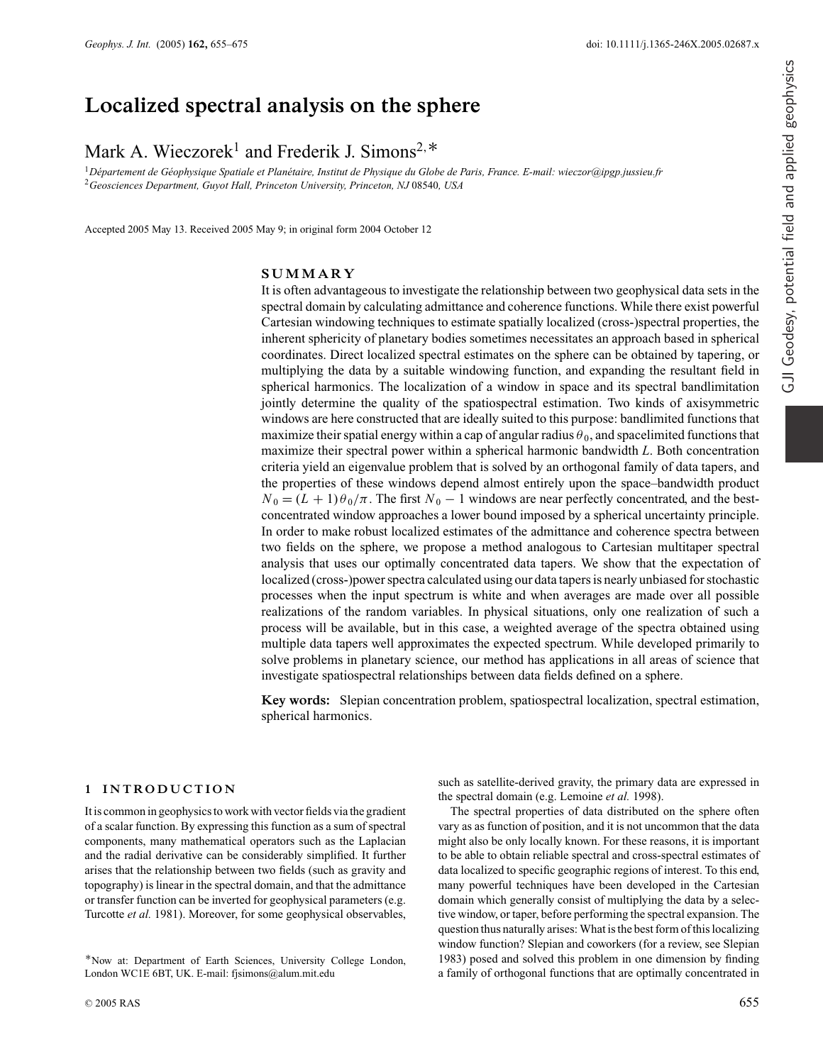# **Localized spectral analysis on the sphere**

Mark A. Wieczorek<sup>1</sup> and Frederik J. Simons<sup>2,\*</sup>

<sup>1</sup> Département de Géophysique Spatiale et Planétaire, Institut de Physique du Globe de Paris, France. E-mail: wieczor@ipgp.jussieu.fr <sup>2</sup>*Geosciences Department, Guyot Hall, Princeton University, Princeton, NJ* 08540*, USA*

Accepted 2005 May 13. Received 2005 May 9; in original form 2004 October 12

# **SUMMARY**

It is often advantageous to investigate the relationship between two geophysical data sets in the spectral domain by calculating admittance and coherence functions. While there exist powerful Cartesian windowing techniques to estimate spatially localized (cross-)spectral properties, the inherent sphericity of planetary bodies sometimes necessitates an approach based in spherical coordinates. Direct localized spectral estimates on the sphere can be obtained by tapering, or multiplying the data by a suitable windowing function, and expanding the resultant field in spherical harmonics. The localization of a window in space and its spectral bandlimitation jointly determine the quality of the spatiospectral estimation. Two kinds of axisymmetric windows are here constructed that are ideally suited to this purpose: bandlimited functions that maximize their spatial energy within a cap of angular radius  $\theta_0$ , and spacelimited functions that maximize their spectral power within a spherical harmonic bandwidth *L*. Both concentration criteria yield an eigenvalue problem that is solved by an orthogonal family of data tapers, and the properties of these windows depend almost entirely upon the space–bandwidth product  $N_0 = (L + 1) \theta_0 / \pi$ . The first  $N_0 - 1$  windows are near perfectly concentrated, and the bestconcentrated window approaches a lower bound imposed by a spherical uncertainty principle. In order to make robust localized estimates of the admittance and coherence spectra between two fields on the sphere, we propose a method analogous to Cartesian multitaper spectral analysis that uses our optimally concentrated data tapers. We show that the expectation of localized (cross-)power spectra calculated using our data tapers is nearly unbiased for stochastic processes when the input spectrum is white and when averages are made over all possible realizations of the random variables. In physical situations, only one realization of such a process will be available, but in this case, a weighted average of the spectra obtained using multiple data tapers well approximates the expected spectrum. While developed primarily to solve problems in planetary science, our method has applications in all areas of science that investigate spatiospectral relationships between data fields defined on a sphere.

**Key words:** Slepian concentration problem, spatiospectral localization, spectral estimation, spherical harmonics.

# **1 INTRO DUCTION**

It is common in geophysics to work with vector fields via the gradient of a scalar function. By expressing this function as a sum of spectral components, many mathematical operators such as the Laplacian and the radial derivative can be considerably simplified. It further arises that the relationship between two fields (such as gravity and topography) is linear in the spectral domain, and that the admittance or transfer function can be inverted for geophysical parameters (e.g. Turcotte *et al.* 1981). Moreover, for some geophysical observables, such as satellite-derived gravity, the primary data are expressed in the spectral domain (e.g. Lemoine *et al.* 1998).

The spectral properties of data distributed on the sphere often vary as as function of position, and it is not uncommon that the data might also be only locally known. For these reasons, it is important to be able to obtain reliable spectral and cross-spectral estimates of data localized to specific geographic regions of interest. To this end, many powerful techniques have been developed in the Cartesian domain which generally consist of multiplying the data by a selective window, or taper, before performing the spectral expansion. The question thus naturally arises: What is the best form of this localizing window function? Slepian and coworkers (for a review, see Slepian 1983) posed and solved this problem in one dimension by finding a family of orthogonal functions that are optimally concentrated in

<sup>∗</sup>Now at: Department of Earth Sciences, University College London, London WC1E 6BT, UK. E-mail: fjsimons@alum.mit.edu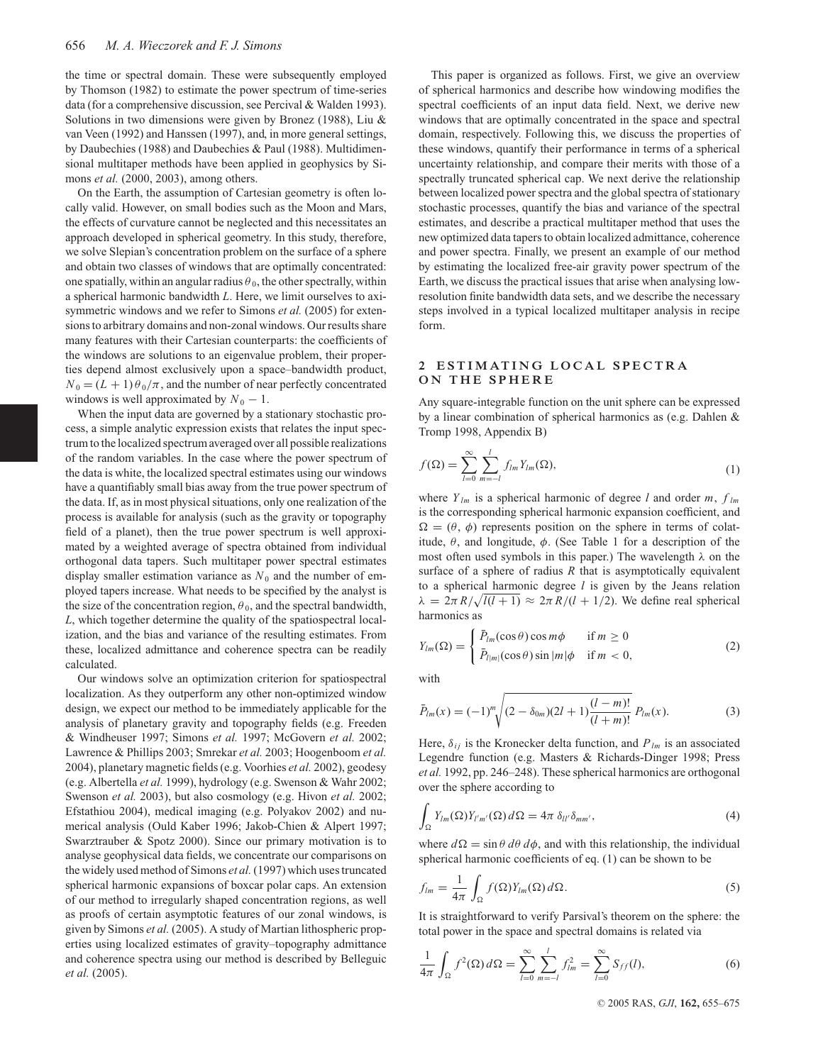the time or spectral domain. These were subsequently employed by Thomson (1982) to estimate the power spectrum of time-series data (for a comprehensive discussion, see Percival & Walden 1993). Solutions in two dimensions were given by Bronez (1988), Liu & van Veen (1992) and Hanssen (1997), and, in more general settings, by Daubechies (1988) and Daubechies & Paul (1988). Multidimensional multitaper methods have been applied in geophysics by Simons *et al.* (2000, 2003), among others.

On the Earth, the assumption of Cartesian geometry is often locally valid. However, on small bodies such as the Moon and Mars, the effects of curvature cannot be neglected and this necessitates an approach developed in spherical geometry. In this study, therefore, we solve Slepian's concentration problem on the surface of a sphere and obtain two classes of windows that are optimally concentrated: one spatially, within an angular radius  $\theta_0$ , the other spectrally, within a spherical harmonic bandwidth *L*. Here, we limit ourselves to axisymmetric windows and we refer to Simons *et al.* (2005) for extensions to arbitrary domains and non-zonal windows. Our results share many features with their Cartesian counterparts: the coefficients of the windows are solutions to an eigenvalue problem, their properties depend almost exclusively upon a space–bandwidth product,  $N_0 = (L + 1) \theta_0 / \pi$ , and the number of near perfectly concentrated windows is well approximated by  $N_0 - 1$ .

When the input data are governed by a stationary stochastic process, a simple analytic expression exists that relates the input spectrum to the localized spectrum averaged over all possible realizations of the random variables. In the case where the power spectrum of the data is white, the localized spectral estimates using our windows have a quantifiably small bias away from the true power spectrum of the data. If, as in most physical situations, only one realization of the process is available for analysis (such as the gravity or topography field of a planet), then the true power spectrum is well approximated by a weighted average of spectra obtained from individual orthogonal data tapers. Such multitaper power spectral estimates display smaller estimation variance as  $N_0$  and the number of employed tapers increase. What needs to be specified by the analyst is the size of the concentration region,  $\theta_0$ , and the spectral bandwidth, *L*, which together determine the quality of the spatiospectral localization, and the bias and variance of the resulting estimates. From these, localized admittance and coherence spectra can be readily calculated.

Our windows solve an optimization criterion for spatiospectral localization. As they outperform any other non-optimized window design, we expect our method to be immediately applicable for the analysis of planetary gravity and topography fields (e.g. Freeden & Windheuser 1997; Simons *et al.* 1997; McGovern *et al.* 2002; Lawrence & Phillips 2003; Smrekar *et al.* 2003; Hoogenboom *et al.* 2004), planetary magnetic fields (e.g. Voorhies *et al.* 2002), geodesy (e.g. Albertella *et al.* 1999), hydrology (e.g. Swenson & Wahr 2002; Swenson *et al.* 2003), but also cosmology (e.g. Hivon *et al.* 2002; Efstathiou 2004), medical imaging (e.g. Polyakov 2002) and numerical analysis (Ould Kaber 1996; Jakob-Chien & Alpert 1997; Swarztrauber & Spotz 2000). Since our primary motivation is to analyse geophysical data fields, we concentrate our comparisons on the widely used method of Simons *et al.*(1997) which uses truncated spherical harmonic expansions of boxcar polar caps. An extension of our method to irregularly shaped concentration regions, as well as proofs of certain asymptotic features of our zonal windows, is given by Simons *et al.* (2005). A study of Martian lithospheric properties using localized estimates of gravity–topography admittance and coherence spectra using our method is described by Belleguic *et al.* (2005).

This paper is organized as follows. First, we give an overview of spherical harmonics and describe how windowing modifies the spectral coefficients of an input data field. Next, we derive new windows that are optimally concentrated in the space and spectral domain, respectively. Following this, we discuss the properties of these windows, quantify their performance in terms of a spherical uncertainty relationship, and compare their merits with those of a spectrally truncated spherical cap. We next derive the relationship between localized power spectra and the global spectra of stationary stochastic processes, quantify the bias and variance of the spectral estimates, and describe a practical multitaper method that uses the new optimized data tapers to obtain localized admittance, coherence and power spectra. Finally, we present an example of our method by estimating the localized free-air gravity power spectrum of the Earth, we discuss the practical issues that arise when analysing lowresolution finite bandwidth data sets, and we describe the necessary steps involved in a typical localized multitaper analysis in recipe form.

# **2 EST IMATING LOCAL SPECTRA ON THE SPHERE**

Any square-integrable function on the unit sphere can be expressed by a linear combination of spherical harmonics as (e.g. Dahlen & Tromp 1998, Appendix B)

$$
f(\Omega) = \sum_{l=0}^{\infty} \sum_{m=-l}^{l} f_{lm} Y_{lm}(\Omega),
$$
\n(1)

where  $Y_{lm}$  is a spherical harmonic of degree *l* and order *m*,  $f_{lm}$ is the corresponding spherical harmonic expansion coefficient, and  $\Omega = (\theta, \phi)$  represents position on the sphere in terms of colatitude, θ, and longitude, φ. (See Table 1 for a description of the most often used symbols in this paper.) The wavelength  $\lambda$  on the surface of a sphere of radius *R* that is asymptotically equivalent to a spherical harmonic degree *l* is given by the Jeans relation  $\lambda = 2\pi R/\sqrt{l(l+1)} \approx 2\pi R/(l+1/2)$ . We define real spherical harmonics as

$$
Y_{lm}(\Omega) = \begin{cases} \bar{P}_{lm}(\cos \theta) \cos m\phi & \text{if } m \ge 0\\ \bar{P}_{l|m|}(\cos \theta) \sin |m|\phi & \text{if } m < 0, \end{cases}
$$
 (2)

with

$$
\bar{P}_{lm}(x) = (-1)^m \sqrt{(2 - \delta_{0m})(2l + 1) \frac{(l - m)!}{(l + m)!}} P_{lm}(x).
$$
\n(3)

Here,  $\delta_{ij}$  is the Kronecker delta function, and  $P_{lm}$  is an associated Legendre function (e.g. Masters & Richards-Dinger 1998; Press *et al.* 1992, pp. 246–248). These spherical harmonics are orthogonal over the sphere according to

$$
\int_{\Omega} Y_{lm}(\Omega) Y_{l'm'}(\Omega) d\Omega = 4\pi \, \delta_{ll'} \delta_{mm'}, \tag{4}
$$

where  $d\Omega = \sin\theta \, d\theta \, d\phi$ , and with this relationship, the individual spherical harmonic coefficients of eq. (1) can be shown to be

$$
f_{lm} = \frac{1}{4\pi} \int_{\Omega} f(\Omega) Y_{lm}(\Omega) d\Omega.
$$
 (5)

It is straightforward to verify Parsival's theorem on the sphere: the total power in the space and spectral domains is related via

$$
\frac{1}{4\pi} \int_{\Omega} f^2(\Omega) d\Omega = \sum_{l=0}^{\infty} \sum_{m=-l}^{l} f_{lm}^2 = \sum_{l=0}^{\infty} S_{ff}(l),
$$
 (6)

-<sup>C</sup> 2005 RAS, *GJI*, **162,** 655–675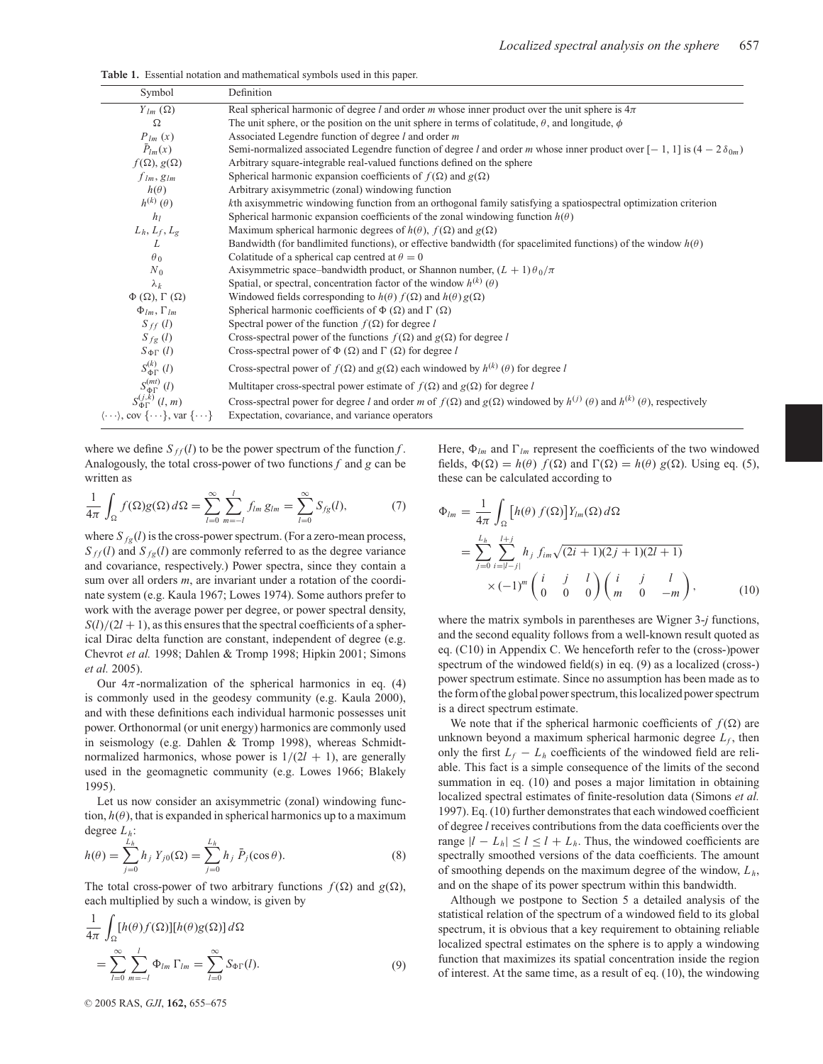**Table 1.** Essential notation and mathematical symbols used in this paper.

| Symbol                                                         | Definition                                                                                                                                      |
|----------------------------------------------------------------|-------------------------------------------------------------------------------------------------------------------------------------------------|
| $Y_{lm}(\Omega)$                                               | Real spherical harmonic of degree l and order m whose inner product over the unit sphere is $4\pi$                                              |
| $\Omega$                                                       | The unit sphere, or the position on the unit sphere in terms of colatitude, $\theta$ , and longitude, $\phi$                                    |
| $P_{lm}(x)$                                                    | Associated Legendre function of degree l and order m                                                                                            |
| $\bar{P}_{lm}(x)$                                              | Semi-normalized associated Legendre function of degree l and order m whose inner product over $[-1, 1]$ is $(4 - 2 \delta_{0m})$                |
| $f(\Omega)$ , $g(\Omega)$                                      | Arbitrary square-integrable real-valued functions defined on the sphere                                                                         |
| $f_{lm}$ , $g_{lm}$                                            | Spherical harmonic expansion coefficients of $f(\Omega)$ and $g(\Omega)$                                                                        |
| $h(\theta)$                                                    | Arbitrary axisymmetric (zonal) windowing function                                                                                               |
| $h^{(k)}(\theta)$                                              | kth axisymmetric windowing function from an orthogonal family satisfying a spatiospectral optimization criterion                                |
| $h_l$                                                          | Spherical harmonic expansion coefficients of the zonal windowing function $h(\theta)$                                                           |
| $L_h, L_f, L_g$                                                | Maximum spherical harmonic degrees of $h(\theta)$ , $f(\Omega)$ and $g(\Omega)$                                                                 |
| L                                                              | Bandwidth (for bandlimited functions), or effective bandwidth (for spacelimited functions) of the window $h(\theta)$                            |
| $\theta_0$                                                     | Colatitude of a spherical cap centred at $\theta = 0$                                                                                           |
| $N_0$                                                          | Axisymmetric space-bandwidth product, or Shannon number, $(L + 1)\theta_0/\pi$                                                                  |
| $\lambda_k$                                                    | Spatial, or spectral, concentration factor of the window $h^{(k)}(\theta)$                                                                      |
| $\Phi(\Omega), \Gamma(\Omega)$                                 | Windowed fields corresponding to $h(\theta)$ $f(\Omega)$ and $h(\theta)g(\Omega)$                                                               |
| $\Phi_{lm}$ , $\Gamma_{lm}$                                    | Spherical harmonic coefficients of $\Phi(\Omega)$ and $\Gamma(\Omega)$                                                                          |
| $S_{ff}(l)$                                                    | Spectral power of the function $f(\Omega)$ for degree l                                                                                         |
| $S_{fg}$ (l)                                                   | Cross-spectral power of the functions $f(\Omega)$ and $g(\Omega)$ for degree l                                                                  |
| $S_{\Phi\Gamma}(l)$                                            | Cross-spectral power of $\Phi(\Omega)$ and $\Gamma(\Omega)$ for degree l                                                                        |
| $S_{\Phi\Gamma}^{(k)}(l)$                                      | Cross-spectral power of $f(\Omega)$ and $g(\Omega)$ each windowed by $h^{(k)}(\theta)$ for degree l                                             |
| $S_{\Phi\Gamma}^{(mt)}(l)$<br>$S_{\Phi\Gamma}^{(j,k)}(l,m)$    | Multitaper cross-spectral power estimate of $f(\Omega)$ and $g(\Omega)$ for degree l                                                            |
|                                                                | Cross-spectral power for degree l and order m of $f(\Omega)$ and $g(\Omega)$ windowed by $h^{(j)}(\theta)$ and $h^{(k)}(\theta)$ , respectively |
| $\langle \cdots \rangle$ , cov $\{\cdots\}$ , var $\{\cdots\}$ | Expectation, covariance, and variance operators                                                                                                 |

where we define  $S_{ff}(l)$  to be the power spectrum of the function f. Analogously, the total cross-power of two functions *f* and *g* can be written as

$$
\frac{1}{4\pi} \int_{\Omega} f(\Omega) g(\Omega) d\Omega = \sum_{l=0}^{\infty} \sum_{m=-l}^{l} f_{lm} g_{lm} = \sum_{l=0}^{\infty} S_{fg}(l), \tag{7}
$$

where  $S_{fg}(l)$  is the cross-power spectrum. (For a zero-mean process,  $S_{ff}(l)$  and  $S_{fg}(l)$  are commonly referred to as the degree variance and covariance, respectively.) Power spectra, since they contain a sum over all orders *m*, are invariant under a rotation of the coordinate system (e.g. Kaula 1967; Lowes 1974). Some authors prefer to work with the average power per degree, or power spectral density,  $S(l)/(2l + 1)$ , as this ensures that the spectral coefficients of a spherical Dirac delta function are constant, independent of degree (e.g. Chevrot *et al.* 1998; Dahlen & Tromp 1998; Hipkin 2001; Simons *et al.* 2005).

Our  $4\pi$ -normalization of the spherical harmonics in eq. (4) is commonly used in the geodesy community (e.g. Kaula 2000), and with these definitions each individual harmonic possesses unit power. Orthonormal (or unit energy) harmonics are commonly used in seismology (e.g. Dahlen & Tromp 1998), whereas Schmidtnormalized harmonics, whose power is  $1/(2l + 1)$ , are generally used in the geomagnetic community (e.g. Lowes 1966; Blakely 1995).

Let us now consider an axisymmetric (zonal) windowing function,  $h(\theta)$ , that is expanded in spherical harmonics up to a maximum degree *Lh*:

$$
h(\theta) = \sum_{j=0}^{L_h} h_j Y_{j0}(\Omega) = \sum_{j=0}^{L_h} h_j \,\bar{P}_j(\cos \theta). \tag{8}
$$

The total cross-power of two arbitrary functions  $f(\Omega)$  and  $g(\Omega)$ , each multiplied by such a window, is given by

$$
\frac{1}{4\pi} \int_{\Omega} [h(\theta) f(\Omega)][h(\theta)g(\Omega)] d\Omega
$$
  
= 
$$
\sum_{l=0}^{\infty} \sum_{m=-l}^{l} \Phi_{lm} \Gamma_{lm} = \sum_{l=0}^{\infty} S_{\Phi\Gamma}(l).
$$
 (9)

Here,  $\Phi_{lm}$  and  $\Gamma_{lm}$  represent the coefficients of the two windowed fields,  $\Phi(\Omega) = h(\theta) f(\Omega)$  and  $\Gamma(\Omega) = h(\theta) g(\Omega)$ . Using eq. (5), these can be calculated according to

$$
\Phi_{lm} = \frac{1}{4\pi} \int_{\Omega} \left[ h(\theta) f(\Omega) \right] Y_{lm}(\Omega) d\Omega \n= \sum_{j=0}^{L_h} \sum_{i=|l-j|}^{l+j} h_j f_{lm} \sqrt{(2i+1)(2j+1)(2l+1)} \n\times (-1)^m \begin{pmatrix} i & j & l \\ 0 & 0 & 0 \end{pmatrix} \begin{pmatrix} i & j & l \\ m & 0 & -m \end{pmatrix},
$$
\n(10)

where the matrix symbols in parentheses are Wigner 3-*j* functions, and the second equality follows from a well-known result quoted as eq. (C10) in Appendix C. We henceforth refer to the (cross-)power spectrum of the windowed field(s) in eq. (9) as a localized (cross-) power spectrum estimate. Since no assumption has been made as to the form of the global power spectrum, this localized power spectrum is a direct spectrum estimate.

We note that if the spherical harmonic coefficients of  $f(\Omega)$  are unknown beyond a maximum spherical harmonic degree  $L_f$ , then only the first  $L_f - L_h$  coefficients of the windowed field are reliable. This fact is a simple consequence of the limits of the second summation in eq. (10) and poses a major limitation in obtaining localized spectral estimates of finite-resolution data (Simons *et al.* 1997). Eq. (10) further demonstrates that each windowed coefficient of degree *l* receives contributions from the data coefficients over the range  $|l - L_h| \le l \le l + L_h$ . Thus, the windowed coefficients are spectrally smoothed versions of the data coefficients. The amount of smoothing depends on the maximum degree of the window, *Lh*, and on the shape of its power spectrum within this bandwidth.

Although we postpone to Section 5 a detailed analysis of the statistical relation of the spectrum of a windowed field to its global spectrum, it is obvious that a key requirement to obtaining reliable localized spectral estimates on the sphere is to apply a windowing function that maximizes its spatial concentration inside the region of interest. At the same time, as a result of eq. (10), the windowing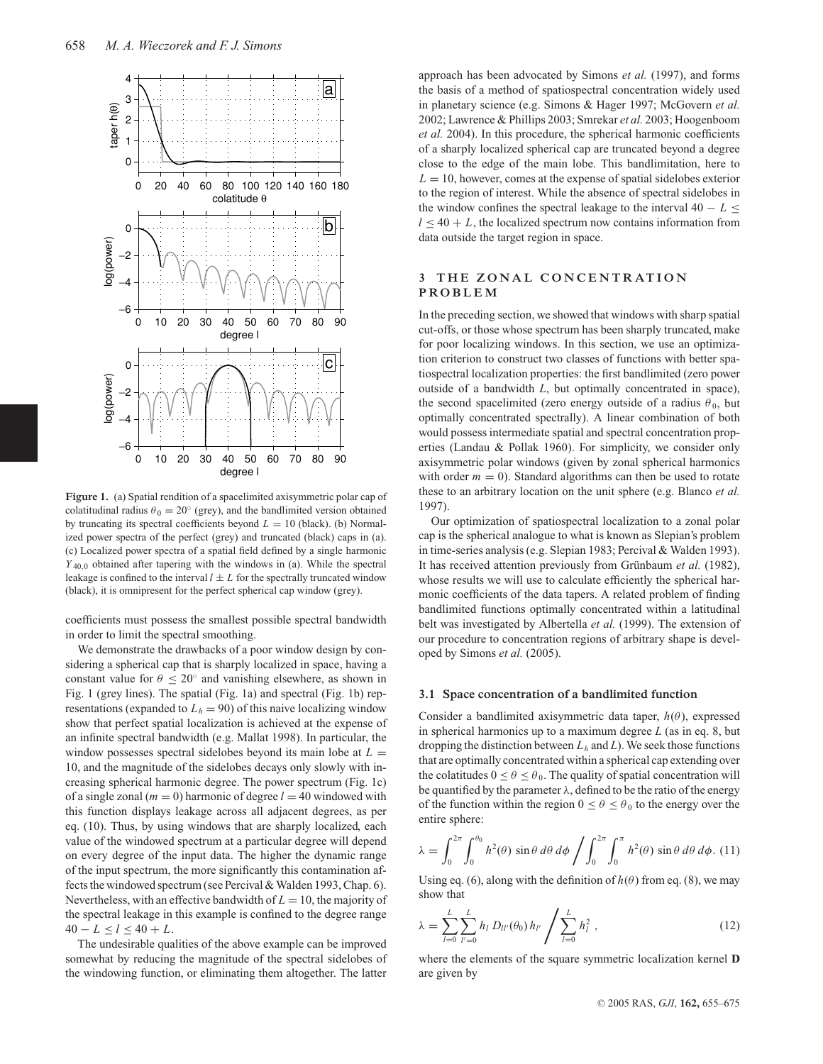

**Figure 1.** (a) Spatial rendition of a spacelimited axisymmetric polar cap of colatitudinal radius  $\theta_0 = 20^\circ$  (grey), and the bandlimited version obtained by truncating its spectral coefficients beyond  $L = 10$  (black). (b) Normalized power spectra of the perfect (grey) and truncated (black) caps in (a). (c) Localized power spectra of a spatial field defined by a single harmonic *Y* <sup>40</sup>,<sup>0</sup> obtained after tapering with the windows in (a). While the spectral leakage is confined to the interval  $l \pm L$  for the spectrally truncated window (black), it is omnipresent for the perfect spherical cap window (grey).

coefficients must possess the smallest possible spectral bandwidth in order to limit the spectral smoothing.

We demonstrate the drawbacks of a poor window design by considering a spherical cap that is sharply localized in space, having a constant value for  $\theta \leq 20^{\circ}$  and vanishing elsewhere, as shown in Fig. 1 (grey lines). The spatial (Fig. 1a) and spectral (Fig. 1b) representations (expanded to  $L<sub>h</sub> = 90$ ) of this naive localizing window show that perfect spatial localization is achieved at the expense of an infinite spectral bandwidth (e.g. Mallat 1998). In particular, the window possesses spectral sidelobes beyond its main lobe at  $L =$ 10, and the magnitude of the sidelobes decays only slowly with increasing spherical harmonic degree. The power spectrum (Fig. 1c) of a single zonal ( $m = 0$ ) harmonic of degree  $l = 40$  windowed with this function displays leakage across all adjacent degrees, as per eq. (10). Thus, by using windows that are sharply localized, each value of the windowed spectrum at a particular degree will depend on every degree of the input data. The higher the dynamic range of the input spectrum, the more significantly this contamination affects the windowed spectrum (see Percival & Walden 1993, Chap. 6). Nevertheless, with an effective bandwidth of *L* = 10, the majority of the spectral leakage in this example is confined to the degree range  $40 - L \le l \le 40 + L$ .

The undesirable qualities of the above example can be improved somewhat by reducing the magnitude of the spectral sidelobes of the windowing function, or eliminating them altogether. The latter

approach has been advocated by Simons *et al.* (1997), and forms the basis of a method of spatiospectral concentration widely used in planetary science (e.g. Simons & Hager 1997; McGovern *et al.* 2002; Lawrence & Phillips 2003; Smrekar *et al.* 2003; Hoogenboom *et al.* 2004). In this procedure, the spherical harmonic coefficients of a sharply localized spherical cap are truncated beyond a degree close to the edge of the main lobe. This bandlimitation, here to  $L = 10$ , however, comes at the expense of spatial sidelobes exterior to the region of interest. While the absence of spectral sidelobes in the window confines the spectral leakage to the interval  $40 - L \leq$  $l \leq 40 + L$ , the localized spectrum now contains information from data outside the target region in space.

# **3 THE ZONAL CONCENTRATION PROBLEM**

In the preceding section, we showed that windows with sharp spatial cut-offs, or those whose spectrum has been sharply truncated, make for poor localizing windows. In this section, we use an optimization criterion to construct two classes of functions with better spatiospectral localization properties: the first bandlimited (zero power outside of a bandwidth *L*, but optimally concentrated in space), the second spacelimited (zero energy outside of a radius  $\theta_0$ , but optimally concentrated spectrally). A linear combination of both would possess intermediate spatial and spectral concentration properties (Landau & Pollak 1960). For simplicity, we consider only axisymmetric polar windows (given by zonal spherical harmonics with order  $m = 0$ ). Standard algorithms can then be used to rotate these to an arbitrary location on the unit sphere (e.g. Blanco *et al.* 1997).

Our optimization of spatiospectral localization to a zonal polar cap is the spherical analogue to what is known as Slepian's problem in time-series analysis (e.g. Slepian 1983; Percival & Walden 1993). It has received attention previously from Grünbaum et al. (1982), whose results we will use to calculate efficiently the spherical harmonic coefficients of the data tapers. A related problem of finding bandlimited functions optimally concentrated within a latitudinal belt was investigated by Albertella *et al.* (1999). The extension of our procedure to concentration regions of arbitrary shape is developed by Simons *et al.* (2005).

## **3.1 Space concentration of a bandlimited function**

Consider a bandlimited axisymmetric data taper, *h*(θ), expressed in spherical harmonics up to a maximum degree *L* (as in eq. 8, but dropping the distinction between  $L<sub>h</sub>$  and  $L$ ). We seek those functions that are optimally concentrated within a spherical cap extending over the colatitudes  $0 \le \theta \le \theta_0$ . The quality of spatial concentration will be quantified by the parameter  $\lambda$ , defined to be the ratio of the energy of the function within the region  $0 \le \theta \le \theta_0$  to the energy over the entire sphere:

$$
\lambda = \int_0^{2\pi} \int_0^{\theta_0} h^2(\theta) \sin \theta \, d\theta \, d\phi \bigg/ \int_0^{2\pi} \int_0^{\pi} h^2(\theta) \sin \theta \, d\theta \, d\phi. \tag{11}
$$

Using eq. (6), along with the definition of  $h(\theta)$  from eq. (8), we may show that

$$
\lambda = \sum_{l=0}^{L} \sum_{l'=0}^{L} h_l D_{ll'}(\theta_0) h_{l'} \left/ \sum_{l=0}^{L} h_l^2 \right., \tag{12}
$$

where the elements of the square symmetric localization kernel **D** are given by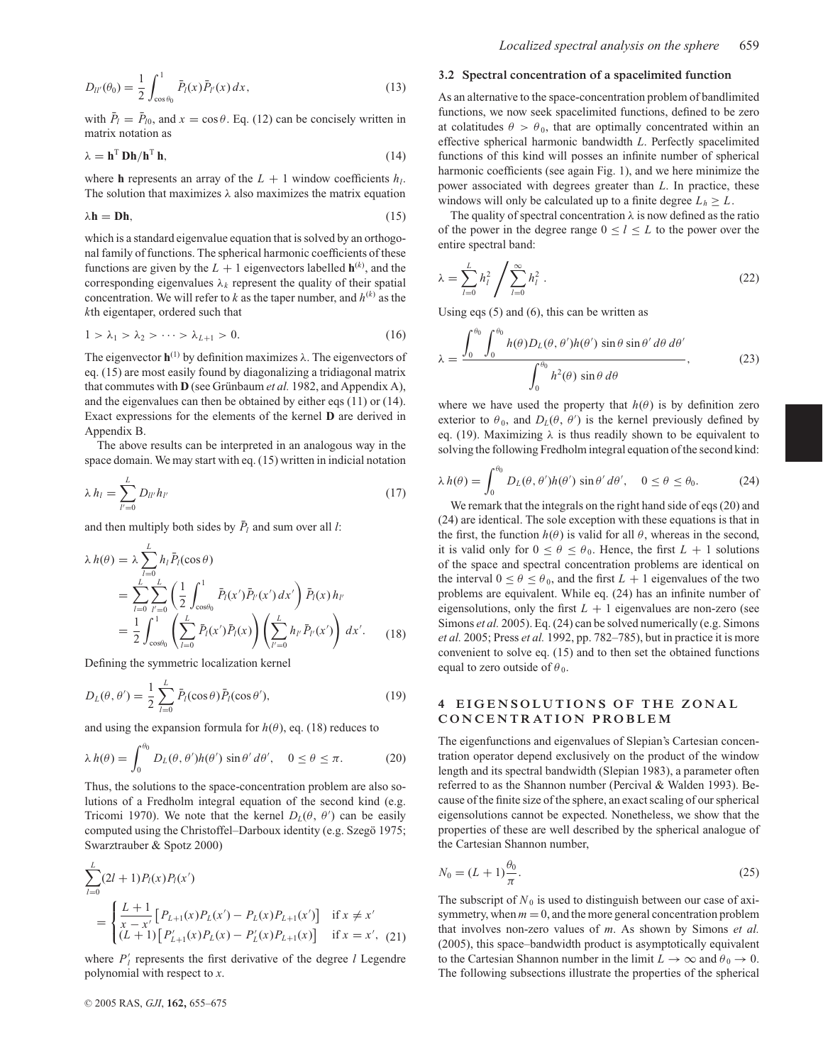$$
D_{ll'}(\theta_0) = \frac{1}{2} \int_{\cos \theta_0}^{1} \bar{P}_l(x) \bar{P}_{l'}(x) dx,
$$
\n(13)

with  $\bar{P}_l = \bar{P}_{l0}$ , and  $x = \cos \theta$ . Eq. (12) can be concisely written in matrix notation as

$$
\lambda = \mathbf{h}^{\mathrm{T}} \, \mathbf{D} \mathbf{h} / \mathbf{h}^{\mathrm{T}} \, \mathbf{h},\tag{14}
$$

where **h** represents an array of the  $L + 1$  window coefficients  $h_l$ . The solution that maximizes  $\lambda$  also maximizes the matrix equation

$$
\lambda \mathbf{h} = \mathbf{D} \mathbf{h},\tag{15}
$$

which is a standard eigenvalue equation that is solved by an orthogonal family of functions. The spherical harmonic coefficients of these functions are given by the  $L + 1$  eigenvectors labelled  $h^{(k)}$ , and the corresponding eigenvalues  $\lambda_k$  represent the quality of their spatial concentration. We will refer to *k* as the taper number, and  $h^{(k)}$  as the *k*th eigentaper, ordered such that

$$
1 > \lambda_1 > \lambda_2 > \cdots > \lambda_{L+1} > 0. \tag{16}
$$

The eigenvector  $\mathbf{h}^{(1)}$  by definition maximizes  $\lambda$ . The eigenvectors of eq. (15) are most easily found by diagonalizing a tridiagonal matrix that commutes with  $\bf{D}$  (see Grünbaum *et al.* 1982, and Appendix A), and the eigenvalues can then be obtained by either eqs (11) or (14). Exact expressions for the elements of the kernel **D** are derived in Appendix B.

The above results can be interpreted in an analogous way in the space domain. We may start with eq. (15) written in indicial notation

$$
\lambda h_l = \sum_{l'=0}^{L} D_{ll'} h_{l'} \tag{17}
$$

and then multiply both sides by  $\bar{P}_l$  and sum over all *l*:

$$
\lambda h(\theta) = \lambda \sum_{l=0}^{L} h_l \bar{P}_l(\cos \theta)
$$
  
= 
$$
\sum_{l=0}^{L} \sum_{l'=0}^{L} \left( \frac{1}{2} \int_{\cos \theta_0}^{1} \bar{P}_l(x') \bar{P}_{l'}(x') dx' \right) \bar{P}_l(x) h_{l'}
$$
  
= 
$$
\frac{1}{2} \int_{\cos \theta_0}^{1} \left( \sum_{l=0}^{L} \bar{P}_l(x') \bar{P}_l(x) \right) \left( \sum_{l'=0}^{L} h_{l'} \bar{P}_{l'}(x') \right) dx'.
$$
 (18)

Defining the symmetric localization kernel

$$
D_L(\theta, \theta') = \frac{1}{2} \sum_{l=0}^{L} \bar{P}_l(\cos \theta) \bar{P}_l(\cos \theta'), \qquad (19)
$$

and using the expansion formula for  $h(\theta)$ , eq. (18) reduces to

$$
\lambda h(\theta) = \int_0^{\theta_0} D_L(\theta, \theta') h(\theta') \sin \theta' d\theta', \quad 0 \le \theta \le \pi.
$$
 (20)

Thus, the solutions to the space-concentration problem are also solutions of a Fredholm integral equation of the second kind (e.g. Tricomi 1970). We note that the kernel  $D_L(\theta, \theta')$  can be easily computed using the Christoffel–Darboux identity (e.g. Szegö 1975; Swarztrauber & Spotz 2000)

$$
\sum_{l=0}^{L} (2l+1) P_l(x) P_l(x')
$$
\n
$$
= \begin{cases}\n\frac{L+1}{x-x'} \left[ P_{L+1}(x) P_L(x') - P_L(x) P_{L+1}(x') \right] & \text{if } x \neq x' \\
(L+1) \left[ P'_{L+1}(x) P_L(x) - P'_L(x) P_{L+1}(x) \right] & \text{if } x = x', \ (21)\n\end{cases}
$$

where  $P'_l$  represents the first derivative of the degree  $l$  Legendre polynomial with respect to *x*.

# **3.2 Spectral concentration of a spacelimited function**

As an alternative to the space-concentration problem of bandlimited functions, we now seek spacelimited functions, defined to be zero at colatitudes  $\theta > \theta_0$ , that are optimally concentrated within an effective spherical harmonic bandwidth *L*. Perfectly spacelimited functions of this kind will posses an infinite number of spherical harmonic coefficients (see again Fig. 1), and we here minimize the power associated with degrees greater than *L*. In practice, these windows will only be calculated up to a finite degree  $L_h \geq L$ .

The quality of spectral concentration  $\lambda$  is now defined as the ratio of the power in the degree range  $0 \le l \le L$  to the power over the entire spectral band:

$$
\lambda = \sum_{l=0}^{L} h_l^2 / \sum_{l=0}^{\infty} h_l^2 . \qquad (22)
$$

Using eqs (5) and (6), this can be written as

<sup>θ</sup><sup>0</sup>

$$
\lambda = \frac{\int_0^{\theta_0} \int_0^{\theta_0} h(\theta) D_L(\theta, \theta') h(\theta') \sin \theta \sin \theta' d\theta d\theta'}{\int_0^{\theta_0} h^2(\theta) \sin \theta d\theta},
$$
(23)

where we have used the property that  $h(\theta)$  is by definition zero exterior to  $\theta_0$ , and  $D_L(\theta, \theta')$  is the kernel previously defined by eq. (19). Maximizing  $\lambda$  is thus readily shown to be equivalent to solving the following Fredholm integral equation of the second kind:

$$
\lambda h(\theta) = \int_0^{\theta_0} D_L(\theta, \theta') h(\theta') \sin \theta' d\theta', \quad 0 \le \theta \le \theta_0.
$$
 (24)

We remark that the integrals on the right hand side of eqs (20) and (24) are identical. The sole exception with these equations is that in the first, the function  $h(\theta)$  is valid for all  $\theta$ , whereas in the second, it is valid only for  $0 \le \theta \le \theta_0$ . Hence, the first  $L + 1$  solutions of the space and spectral concentration problems are identical on the interval  $0 \le \theta \le \theta_0$ , and the first  $L + 1$  eigenvalues of the two problems are equivalent. While eq. (24) has an infinite number of eigensolutions, only the first  $L + 1$  eigenvalues are non-zero (see Simons *et al.* 2005). Eq. (24) can be solved numerically (e.g. Simons *et al.* 2005; Press *et al.* 1992, pp. 782–785), but in practice it is more convenient to solve eq. (15) and to then set the obtained functions equal to zero outside of  $\theta_0$ .

# **4 EIG ENSOLUTIONS OF THE ZONAL CONCENTRATION PROBLEM**

The eigenfunctions and eigenvalues of Slepian's Cartesian concentration operator depend exclusively on the product of the window length and its spectral bandwidth (Slepian 1983), a parameter often referred to as the Shannon number (Percival & Walden 1993). Because of the finite size of the sphere, an exact scaling of our spherical eigensolutions cannot be expected. Nonetheless, we show that the properties of these are well described by the spherical analogue of the Cartesian Shannon number,

$$
N_0 = (L+1)\frac{\theta_0}{\pi}.\tag{25}
$$

The subscript of  $N_0$  is used to distinguish between our case of axisymmetry, when  $m = 0$ , and the more general concentration problem that involves non-zero values of *m*. As shown by Simons *et al.* (2005), this space–bandwidth product is asymptotically equivalent to the Cartesian Shannon number in the limit  $L \to \infty$  and  $\theta_0 \to 0$ . The following subsections illustrate the properties of the spherical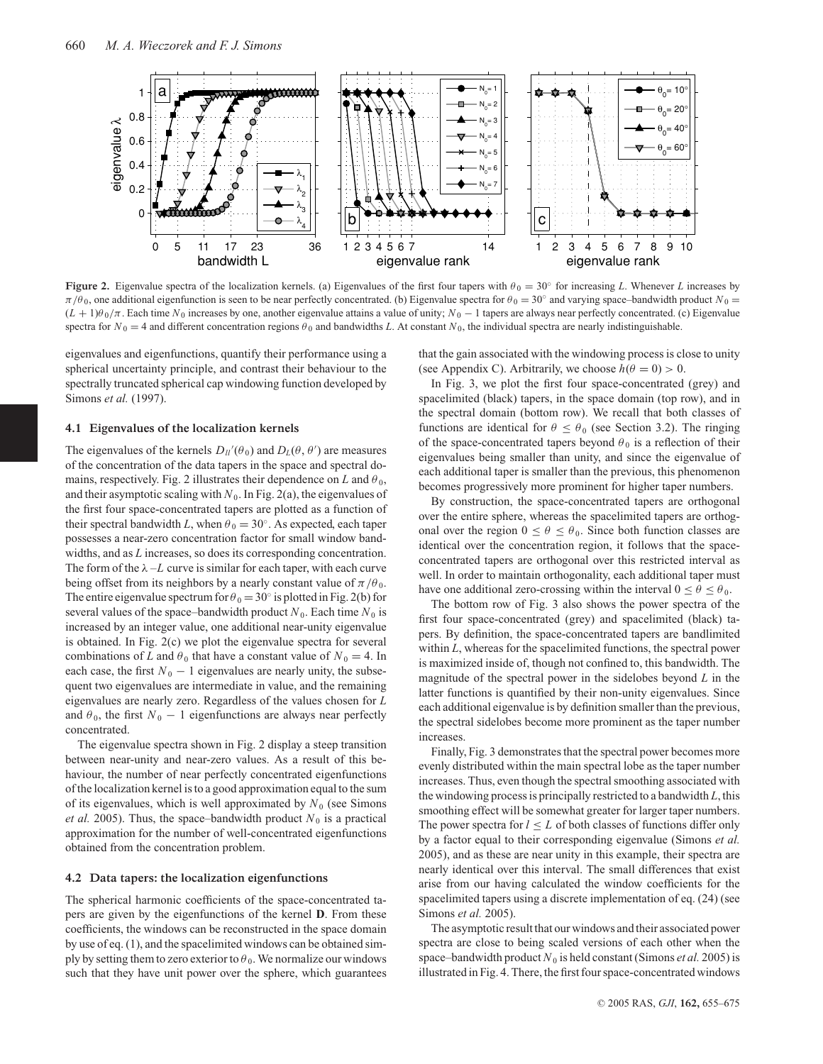

**Figure 2.** Eigenvalue spectra of the localization kernels. (a) Eigenvalues of the first four tapers with  $\theta_0 = 30^\circ$  for increasing *L*. Whenever *L* increases by  $\pi/\theta_0$ , one additional eigenfunction is seen to be near perfectly concentrated. (b) Eigenvalue spectra for  $\theta_0 = 30^\circ$  and varying space–bandwidth product  $N_0 =$  $(L + 1)$ θ<sub>0</sub>/π. Each time  $N_0$  increases by one, another eigenvalue attains a value of unity;  $N_0 - 1$  tapers are always near perfectly concentrated. (c) Eigenvalue spectra for  $N_0 = 4$  and different concentration regions  $\theta_0$  and bandwidths *L*. At constant  $N_0$ , the individual spectra are nearly indistinguishable.

eigenvalues and eigenfunctions, quantify their performance using a spherical uncertainty principle, and contrast their behaviour to the spectrally truncated spherical cap windowing function developed by Simons *et al.* (1997).

### **4.1 Eigenvalues of the localization kernels**

The eigenvalues of the kernels  $D_{ll}$ <sup>'</sup>( $\theta_0$ ) and  $D_L$ ( $\theta$ ,  $\theta'$ ) are measures of the concentration of the data tapers in the space and spectral domains, respectively. Fig. 2 illustrates their dependence on  $L$  and  $\theta_0$ , and their asymptotic scaling with  $N_0$ . In Fig. 2(a), the eigenvalues of the first four space-concentrated tapers are plotted as a function of their spectral bandwidth *L*, when  $\theta_0 = 30^\circ$ . As expected, each taper possesses a near-zero concentration factor for small window bandwidths, and as *L* increases, so does its corresponding concentration. The form of the  $\lambda - L$  curve is similar for each taper, with each curve being offset from its neighbors by a nearly constant value of  $\pi/\theta_0$ . The entire eigenvalue spectrum for  $\theta_0 = 30^\circ$  is plotted in Fig. 2(b) for several values of the space–bandwidth product  $N_0$ . Each time  $N_0$  is increased by an integer value, one additional near-unity eigenvalue is obtained. In Fig. 2(c) we plot the eigenvalue spectra for several combinations of *L* and  $\theta_0$  that have a constant value of  $N_0 = 4$ . In each case, the first  $N_0 - 1$  eigenvalues are nearly unity, the subsequent two eigenvalues are intermediate in value, and the remaining eigenvalues are nearly zero. Regardless of the values chosen for *L* and  $\theta_0$ , the first  $N_0 - 1$  eigenfunctions are always near perfectly concentrated.

The eigenvalue spectra shown in Fig. 2 display a steep transition between near-unity and near-zero values. As a result of this behaviour, the number of near perfectly concentrated eigenfunctions of the localization kernel is to a good approximation equal to the sum of its eigenvalues, which is well approximated by  $N_0$  (see Simons *et al.* 2005). Thus, the space–bandwidth product  $N_0$  is a practical approximation for the number of well-concentrated eigenfunctions obtained from the concentration problem.

## **4.2 Data tapers: the localization eigenfunctions**

The spherical harmonic coefficients of the space-concentrated tapers are given by the eigenfunctions of the kernel **D**. From these coefficients, the windows can be reconstructed in the space domain by use of eq. (1), and the spacelimited windows can be obtained simply by setting them to zero exterior to  $\theta_0$ . We normalize our windows such that they have unit power over the sphere, which guarantees that the gain associated with the windowing process is close to unity (see Appendix C). Arbitrarily, we choose  $h(\theta = 0) > 0$ .

In Fig. 3, we plot the first four space-concentrated (grey) and spacelimited (black) tapers, in the space domain (top row), and in the spectral domain (bottom row). We recall that both classes of functions are identical for  $\theta \le \theta_0$  (see Section 3.2). The ringing of the space-concentrated tapers beyond  $\theta_0$  is a reflection of their eigenvalues being smaller than unity, and since the eigenvalue of each additional taper is smaller than the previous, this phenomenon becomes progressively more prominent for higher taper numbers.

By construction, the space-concentrated tapers are orthogonal over the entire sphere, whereas the spacelimited tapers are orthogonal over the region  $0 \le \theta \le \theta_0$ . Since both function classes are identical over the concentration region, it follows that the spaceconcentrated tapers are orthogonal over this restricted interval as well. In order to maintain orthogonality, each additional taper must have one additional zero-crossing within the interval  $0 \le \theta \le \theta_0$ .

The bottom row of Fig. 3 also shows the power spectra of the first four space-concentrated (grey) and spacelimited (black) tapers. By definition, the space-concentrated tapers are bandlimited within *L*, whereas for the spacelimited functions, the spectral power is maximized inside of, though not confined to, this bandwidth. The magnitude of the spectral power in the sidelobes beyond *L* in the latter functions is quantified by their non-unity eigenvalues. Since each additional eigenvalue is by definition smaller than the previous, the spectral sidelobes become more prominent as the taper number increases.

Finally, Fig. 3 demonstrates that the spectral power becomes more evenly distributed within the main spectral lobe as the taper number increases. Thus, even though the spectral smoothing associated with the windowing process is principally restricted to a bandwidth *L*, this smoothing effect will be somewhat greater for larger taper numbers. The power spectra for  $l \leq L$  of both classes of functions differ only byafactor equal to their corresponding eigenvalue (Simons *et al.* 2005), and as these are near unity in this example, their spectra are nearly identical over this interval. The small differences that exist arise from our having calculated the window coefficients for the spacelimited tapers using a discrete implementation of eq. (24) (see Simons *et al.* 2005).

The asymptotic result that our windows and their associated power spectra are close to being scaled versions of each other when the space–bandwidth product  $N_0$  is held constant (Simons *et al.* 2005) is illustrated in Fig. 4. There, the first four space-concentrated windows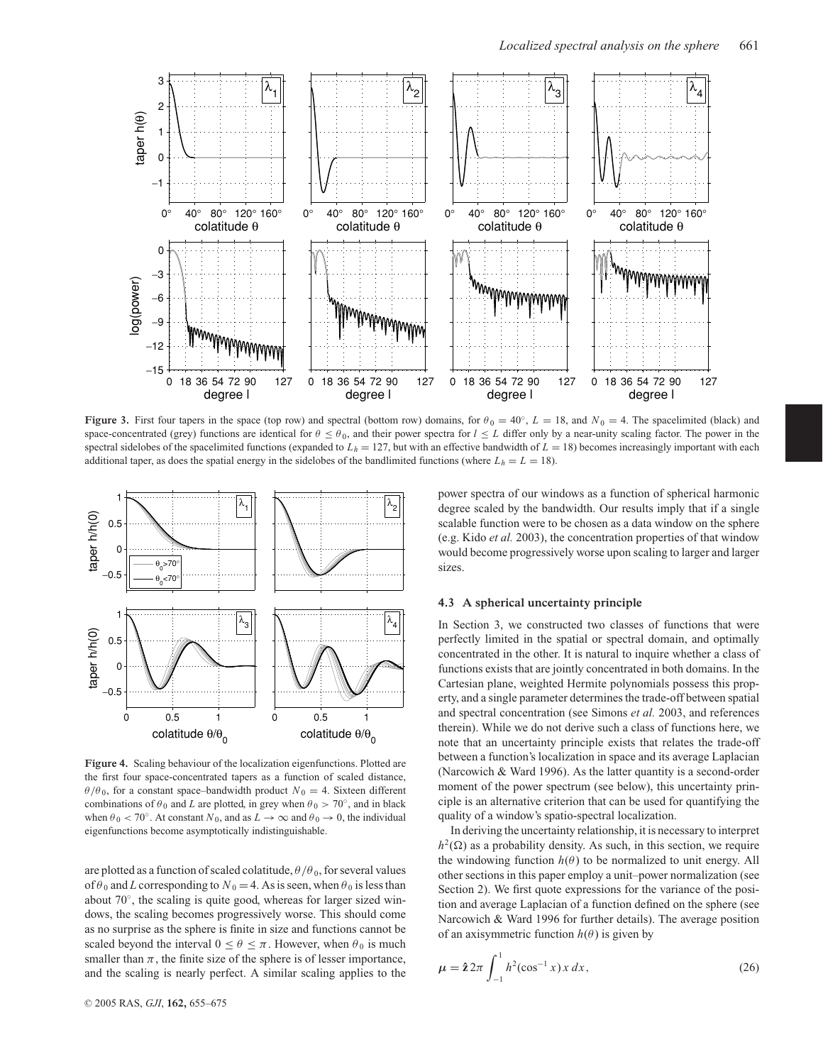

**Figure 3.** First four tapers in the space (top row) and spectral (bottom row) domains, for  $\theta_0 = 40^\circ$ ,  $L = 18$ , and  $N_0 = 4$ . The spacelimited (black) and space-concentrated (grey) functions are identical for  $\theta \le \theta_0$ , and their power spectra for  $l \le L$  differ only by a near-unity scaling factor. The power in the spectral sidelobes of the spacelimited functions (expanded to  $L<sub>h</sub> = 127$ , but with an effective bandwidth of  $L = 18$ ) becomes increasingly important with each additional taper, as does the spatial energy in the sidelobes of the bandlimited functions (where  $L_h = L = 18$ ).



**Figure 4.** Scaling behaviour of the localization eigenfunctions. Plotted are the first four space-concentrated tapers as a function of scaled distance,  $\theta/\theta_0$ , for a constant space–bandwidth product  $N_0 = 4$ . Sixteen different combinations of  $\theta_0$  and *L* are plotted, in grey when  $\theta_0 > 70^\circ$ , and in black when  $\theta_0 < 70^\circ$ . At constant  $N_0$ , and as  $L \to \infty$  and  $\theta_0 \to 0$ , the individual eigenfunctions become asymptotically indistinguishable.

are plotted as a function of scaled colatitude,  $\theta/\theta_0$ , for several values of  $\theta_0$  and *L* corresponding to  $N_0 = 4$ . As is seen, when  $\theta_0$  is less than about 70◦, the scaling is quite good, whereas for larger sized windows, the scaling becomes progressively worse. This should come as no surprise as the sphere is finite in size and functions cannot be scaled beyond the interval  $0 \le \theta \le \pi$ . However, when  $\theta_0$  is much smaller than  $\pi$ , the finite size of the sphere is of lesser importance, and the scaling is nearly perfect. A similar scaling applies to the

power spectra of our windows as a function of spherical harmonic degree scaled by the bandwidth. Our results imply that if a single scalable function were to be chosen as a data window on the sphere (e.g. Kido *et al.* 2003), the concentration properties of that window would become progressively worse upon scaling to larger and larger sizes.

# **4.3 A spherical uncertainty principle**

In Section 3, we constructed two classes of functions that were perfectly limited in the spatial or spectral domain, and optimally concentrated in the other. It is natural to inquire whether a class of functions exists that are jointly concentrated in both domains. In the Cartesian plane, weighted Hermite polynomials possess this property, and a single parameter determines the trade-off between spatial and spectral concentration (see Simons *et al.* 2003, and references therein). While we do not derive such a class of functions here, we note that an uncertainty principle exists that relates the trade-off between a function's localization in space and its average Laplacian (Narcowich & Ward 1996). As the latter quantity is a second-order moment of the power spectrum (see below), this uncertainty principle is an alternative criterion that can be used for quantifying the quality of a window's spatio-spectral localization.

In deriving the uncertainty relationship, it is necessary to interpret  $h^2(\Omega)$  as a probability density. As such, in this section, we require the windowing function  $h(\theta)$  to be normalized to unit energy. All other sections in this paper employ a unit–power normalization (see Section 2). We first quote expressions for the variance of the position and average Laplacian of a function defined on the sphere (see Narcowich & Ward 1996 for further details). The average position of an axisymmetric function  $h(\theta)$  is given by

$$
\mu = \hat{\mathbf{z}} 2\pi \int_{-1}^{1} h^2 (\cos^{-1} x) x \, dx,\tag{26}
$$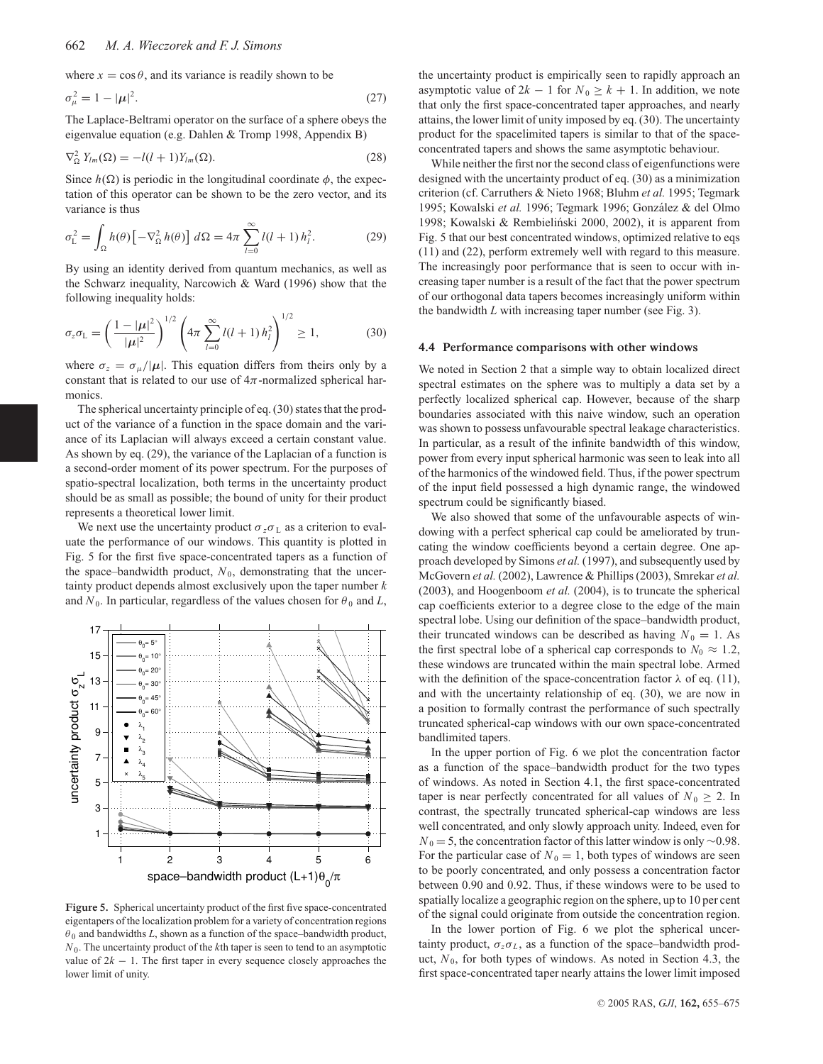where  $x = \cos \theta$ , and its variance is readily shown to be

$$
\sigma_{\mu}^{2} = 1 - |\mu|^{2}.
$$
 (27)

The Laplace-Beltrami operator on the surface of a sphere obeys the eigenvalue equation (e.g. Dahlen & Tromp 1998, Appendix B)

$$
\nabla_{\Omega}^2 Y_{lm}(\Omega) = -l(l+1)Y_{lm}(\Omega). \tag{28}
$$

Since  $h(\Omega)$  is periodic in the longitudinal coordinate  $\phi$ , the expectation of this operator can be shown to be the zero vector, and its variance is thus

$$
\sigma_{\mathcal{L}}^2 = \int_{\Omega} h(\theta) \left[ -\nabla_{\Omega}^2 h(\theta) \right] d\Omega = 4\pi \sum_{l=0}^{\infty} l(l+1) h_l^2. \tag{29}
$$

By using an identity derived from quantum mechanics, as well as the Schwarz inequality, Narcowich & Ward (1996) show that the following inequality holds:

$$
\sigma_z \sigma_L = \left(\frac{1-|\mu|^2}{|\mu|^2}\right)^{1/2} \left(4\pi \sum_{l=0}^{\infty} l(l+1) h_l^2\right)^{1/2} \ge 1, \tag{30}
$$

where  $\sigma_z = \frac{\sigma_\mu}{|\mu|}$ . This equation differs from theirs only by a constant that is related to our use of  $4\pi$ -normalized spherical harmonics.

The spherical uncertainty principle of eq. (30) states that the product of the variance of a function in the space domain and the variance of its Laplacian will always exceed a certain constant value. As shown by eq. (29), the variance of the Laplacian of a function is a second-order moment of its power spectrum. For the purposes of spatio-spectral localization, both terms in the uncertainty product should be as small as possible; the bound of unity for their product represents a theoretical lower limit.

We next use the uncertainty product  $\sigma_z \sigma_L$  as a criterion to evaluate the performance of our windows. This quantity is plotted in Fig. 5 for the first five space-concentrated tapers as a function of the space–bandwidth product,  $N_0$ , demonstrating that the uncertainty product depends almost exclusively upon the taper number *k* and  $N_0$ . In particular, regardless of the values chosen for  $\theta_0$  and *L*,



**Figure 5.** Spherical uncertainty product of the first five space-concentrated eigentapers of the localization problem for a variety of concentration regions  $\theta_0$  and bandwidths *L*, shown as a function of the space–bandwidth product, *N*0. The uncertainty product of the *k*th taper is seen to tend to an asymptotic value of  $2k - 1$ . The first taper in every sequence closely approaches the lower limit of unity.

the uncertainty product is empirically seen to rapidly approach an asymptotic value of  $2k - 1$  for  $N_0 \ge k + 1$ . In addition, we note that only the first space-concentrated taper approaches, and nearly attains, the lower limit of unity imposed by eq. (30). The uncertainty product for the spacelimited tapers is similar to that of the spaceconcentrated tapers and shows the same asymptotic behaviour.

While neither the first nor the second class of eigenfunctions were designed with the uncertainty product of eq. (30) as a minimization criterion (cf. Carruthers & Nieto 1968; Bluhm *et al.* 1995; Tegmark 1995; Kowalski et al. 1996; Tegmark 1996; González & del Olmo 1998; Kowalski & Rembieliński 2000, 2002), it is apparent from Fig. 5 that our best concentrated windows, optimized relative to eqs (11) and (22), perform extremely well with regard to this measure. The increasingly poor performance that is seen to occur with increasing taper number is a result of the fact that the power spectrum of our orthogonal data tapers becomes increasingly uniform within the bandwidth *L* with increasing taper number (see Fig. 3).

### **4.4 Performance comparisons with other windows**

We noted in Section 2 that a simple way to obtain localized direct spectral estimates on the sphere was to multiply a data set by a perfectly localized spherical cap. However, because of the sharp boundaries associated with this naive window, such an operation was shown to possess unfavourable spectral leakage characteristics. In particular, as a result of the infinite bandwidth of this window, power from every input spherical harmonic was seen to leak into all of the harmonics of the windowed field. Thus, if the power spectrum of the input field possessed a high dynamic range, the windowed spectrum could be significantly biased.

We also showed that some of the unfavourable aspects of windowing with a perfect spherical cap could be ameliorated by truncating the window coefficients beyond a certain degree. One approach developed by Simons *et al.* (1997), and subsequently used by McGovern *et al.* (2002), Lawrence & Phillips (2003), Smrekar *et al.* (2003), and Hoogenboom *et al.* (2004), is to truncate the spherical cap coefficients exterior to a degree close to the edge of the main spectral lobe. Using our definition of the space–bandwidth product, their truncated windows can be described as having  $N_0 = 1$ . As the first spectral lobe of a spherical cap corresponds to  $N_0 \approx 1.2$ , these windows are truncated within the main spectral lobe. Armed with the definition of the space-concentration factor  $\lambda$  of eq. (11), and with the uncertainty relationship of eq. (30), we are now in a position to formally contrast the performance of such spectrally truncated spherical-cap windows with our own space-concentrated bandlimited tapers.

In the upper portion of Fig. 6 we plot the concentration factor as a function of the space–bandwidth product for the two types of windows. As noted in Section 4.1, the first space-concentrated taper is near perfectly concentrated for all values of  $N_0 \geq 2$ . In contrast, the spectrally truncated spherical-cap windows are less well concentrated, and only slowly approach unity. Indeed, even for *N*<sub>0</sub> = 5, the concentration factor of this latter window is only ∼0.98. For the particular case of  $N_0 = 1$ , both types of windows are seen to be poorly concentrated, and only possess a concentration factor between 0.90 and 0.92. Thus, if these windows were to be used to spatially localize a geographic region on the sphere, up to 10 per cent of the signal could originate from outside the concentration region.

In the lower portion of Fig. 6 we plot the spherical uncertainty product,  $\sigma_z \sigma_L$ , as a function of the space–bandwidth product, *N*0, for both types of windows. As noted in Section 4.3, the first space-concentrated taper nearly attains the lower limit imposed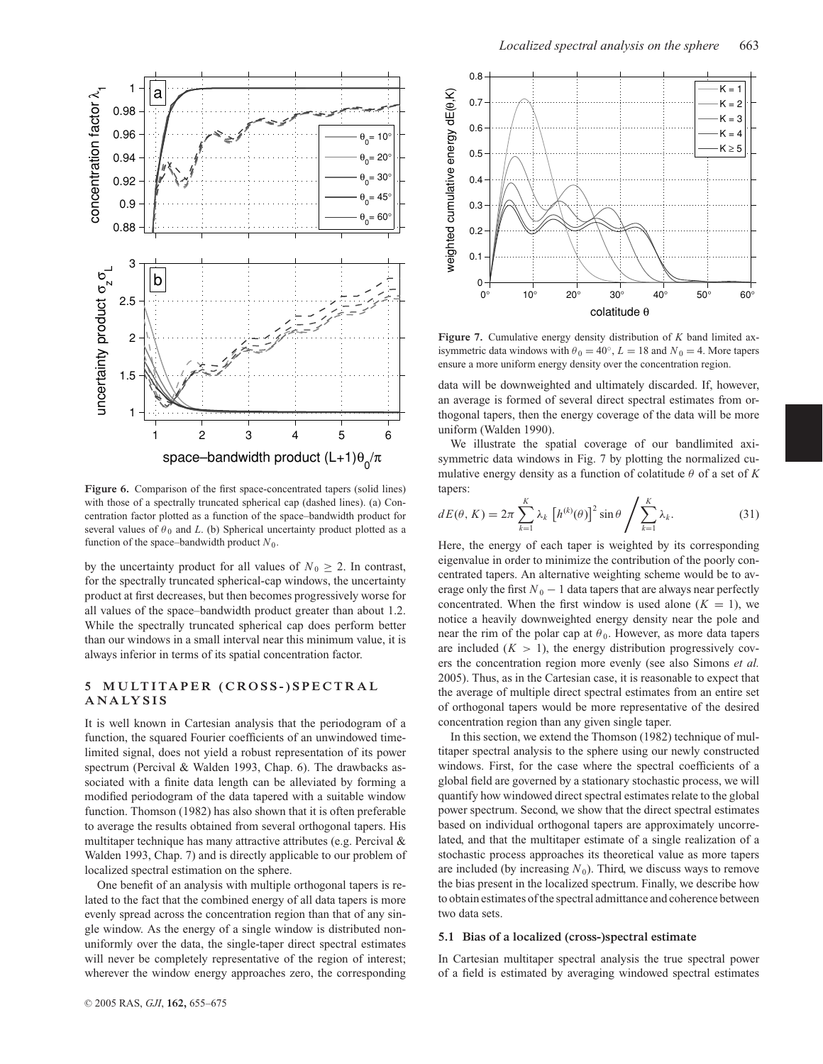

**Figure 6.** Comparison of the first space-concentrated tapers (solid lines) with those of a spectrally truncated spherical cap (dashed lines). (a) Concentration factor plotted as a function of the space–bandwidth product for several values of  $\theta_0$  and *L*. (b) Spherical uncertainty product plotted as a function of the space–bandwidth product  $N_0$ .

by the uncertainty product for all values of  $N_0 \geq 2$ . In contrast, for the spectrally truncated spherical-cap windows, the uncertainty product at first decreases, but then becomes progressively worse for all values of the space–bandwidth product greater than about 1.2. While the spectrally truncated spherical cap does perform better than our windows in a small interval near this minimum value, it is always inferior in terms of its spatial concentration factor.

# **5 MULTITAPER (CROSS-)SPECTRAL ANALYSIS**

It is well known in Cartesian analysis that the periodogram of a function, the squared Fourier coefficients of an unwindowed timelimited signal, does not yield a robust representation of its power spectrum (Percival & Walden 1993, Chap. 6). The drawbacks associated with a finite data length can be alleviated by forming a modified periodogram of the data tapered with a suitable window function. Thomson (1982) has also shown that it is often preferable to average the results obtained from several orthogonal tapers. His multitaper technique has many attractive attributes (e.g. Percival & Walden 1993, Chap. 7) and is directly applicable to our problem of localized spectral estimation on the sphere.

One benefit of an analysis with multiple orthogonal tapers is related to the fact that the combined energy of all data tapers is more evenly spread across the concentration region than that of any single window. As the energy of a single window is distributed nonuniformly over the data, the single-taper direct spectral estimates will never be completely representative of the region of interest; wherever the window energy approaches zero, the corresponding



**Figure 7.** Cumulative energy density distribution of *K* band limited axisymmetric data windows with  $\theta_0 = 40^\circ$ ,  $L = 18$  and  $N_0 = 4$ . More tapers ensure a more uniform energy density over the concentration region.

data will be downweighted and ultimately discarded. If, however, an average is formed of several direct spectral estimates from orthogonal tapers, then the energy coverage of the data will be more uniform (Walden 1990).

We illustrate the spatial coverage of our bandlimited axisymmetric data windows in Fig. 7 by plotting the normalized cumulative energy density as a function of colatitude  $\theta$  of a set of  $K$ tapers:

$$
dE(\theta, K) = 2\pi \sum_{k=1}^{K} \lambda_k \left[ h^{(k)}(\theta) \right]^2 \sin \theta \Bigg/ \sum_{k=1}^{K} \lambda_k.
$$
 (31)

Here, the energy of each taper is weighted by its corresponding eigenvalue in order to minimize the contribution of the poorly concentrated tapers. An alternative weighting scheme would be to average only the first  $N_0 - 1$  data tapers that are always near perfectly concentrated. When the first window is used alone  $(K = 1)$ , we notice a heavily downweighted energy density near the pole and near the rim of the polar cap at  $\theta_0$ . However, as more data tapers are included  $(K > 1)$ , the energy distribution progressively covers the concentration region more evenly (see also Simons *et al.* 2005). Thus, as in the Cartesian case, it is reasonable to expect that the average of multiple direct spectral estimates from an entire set of orthogonal tapers would be more representative of the desired concentration region than any given single taper.

In this section, we extend the Thomson (1982) technique of multitaper spectral analysis to the sphere using our newly constructed windows. First, for the case where the spectral coefficients of a global field are governed by a stationary stochastic process, we will quantify how windowed direct spectral estimates relate to the global power spectrum. Second, we show that the direct spectral estimates based on individual orthogonal tapers are approximately uncorrelated, and that the multitaper estimate of a single realization of a stochastic process approaches its theoretical value as more tapers are included (by increasing  $N_0$ ). Third, we discuss ways to remove the bias present in the localized spectrum. Finally, we describe how to obtain estimates of the spectral admittance and coherence between two data sets.

# **5.1 Bias of a localized (cross-)spectral estimate**

In Cartesian multitaper spectral analysis the true spectral power of a field is estimated by averaging windowed spectral estimates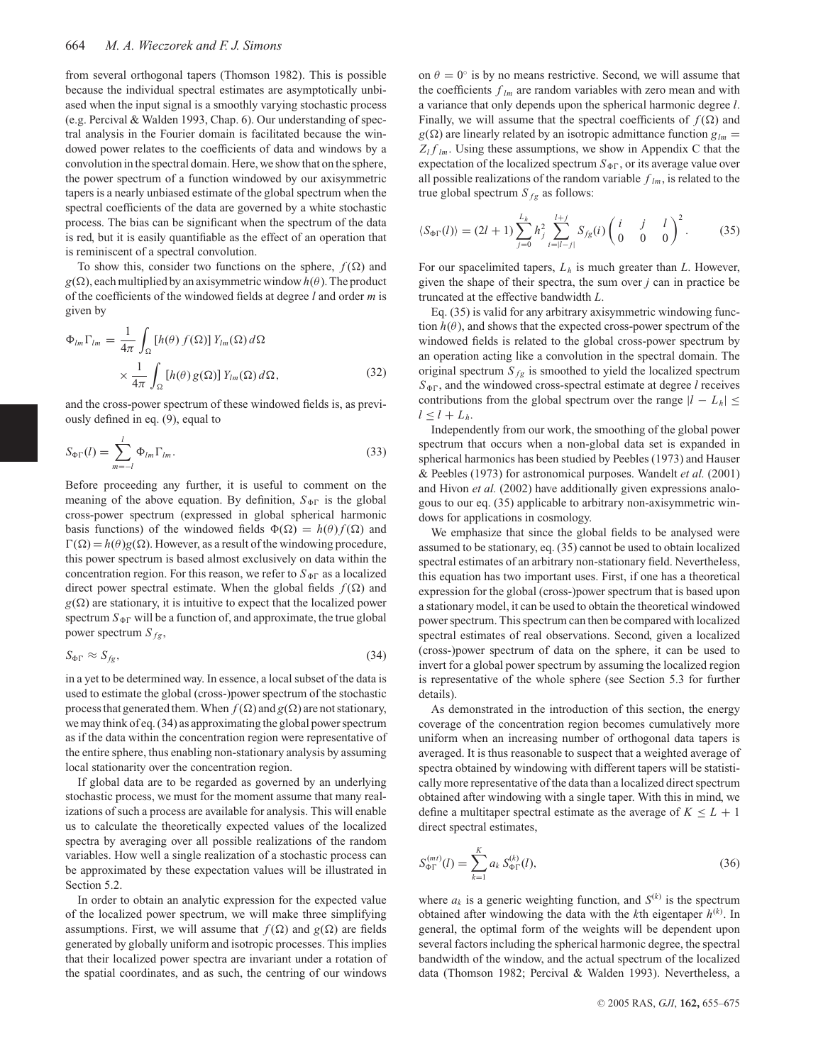from several orthogonal tapers (Thomson 1982). This is possible because the individual spectral estimates are asymptotically unbiased when the input signal is a smoothly varying stochastic process (e.g. Percival & Walden 1993, Chap. 6). Our understanding of spectral analysis in the Fourier domain is facilitated because the windowed power relates to the coefficients of data and windows by a convolution in the spectral domain. Here, we show that on the sphere, the power spectrum of a function windowed by our axisymmetric tapers is a nearly unbiased estimate of the global spectrum when the spectral coefficients of the data are governed by a white stochastic process. The bias can be significant when the spectrum of the data is red, but it is easily quantifiable as the effect of an operation that is reminiscent of a spectral convolution.

To show this, consider two functions on the sphere,  $f(\Omega)$  and  $g(\Omega)$ , each multiplied by an axisymmetric window  $h(\theta)$ . The product of the coefficients of the windowed fields at degree *l* and order *m* is given by

$$
\Phi_{lm}\Gamma_{lm} = \frac{1}{4\pi} \int_{\Omega} \left[ h(\theta) \, f(\Omega) \right] Y_{lm}(\Omega) \, d\Omega
$$
\n
$$
\times \frac{1}{4\pi} \int_{\Omega} \left[ h(\theta) \, g(\Omega) \right] Y_{lm}(\Omega) \, d\Omega,\tag{32}
$$

and the cross-power spectrum of these windowed fields is, as previously defined in eq. (9), equal to

$$
S_{\Phi\Gamma}(l) = \sum_{m=-l}^{l} \Phi_{lm} \Gamma_{lm}.
$$
 (33)

Before proceeding any further, it is useful to comment on the meaning of the above equation. By definition,  $S_{\Phi\Gamma}$  is the global cross-power spectrum (expressed in global spherical harmonic basis functions) of the windowed fields  $\Phi(\Omega) = h(\theta) f(\Omega)$  and  $\Gamma(\Omega) = h(\theta)g(\Omega)$ . However, as a result of the windowing procedure, this power spectrum is based almost exclusively on data within the concentration region. For this reason, we refer to  $S_{\Phi\Gamma}$  as a localized direct power spectral estimate. When the global fields  $f(\Omega)$  and  $g(\Omega)$  are stationary, it is intuitive to expect that the localized power spectrum  $S_{\Phi\Gamma}$  will be a function of, and approximate, the true global power spectrum  $S_{fg}$ ,

$$
S_{\Phi \Gamma} \approx S_{fg},\tag{34}
$$

in a yet to be determined way. In essence, a local subset of the data is used to estimate the global (cross-)power spectrum of the stochastic process that generated them. When  $f(\Omega)$  and  $g(\Omega)$  are not stationary, wemay think of eq. (34) as approximating the global power spectrum as if the data within the concentration region were representative of the entire sphere, thus enabling non-stationary analysis by assuming local stationarity over the concentration region.

If global data are to be regarded as governed by an underlying stochastic process, we must for the moment assume that many realizations of such a process are available for analysis. This will enable us to calculate the theoretically expected values of the localized spectra by averaging over all possible realizations of the random variables. How well a single realization of a stochastic process can be approximated by these expectation values will be illustrated in Section 5.2.

In order to obtain an analytic expression for the expected value of the localized power spectrum, we will make three simplifying assumptions. First, we will assume that  $f(\Omega)$  and  $g(\Omega)$  are fields generated by globally uniform and isotropic processes. This implies that their localized power spectra are invariant under a rotation of the spatial coordinates, and as such, the centring of our windows

on  $\theta = 0^\circ$  is by no means restrictive. Second, we will assume that the coefficients  $f_{lm}$  are random variables with zero mean and with a variance that only depends upon the spherical harmonic degree *l*. Finally, we will assume that the spectral coefficients of  $f(\Omega)$  and  $g(\Omega)$  are linearly related by an isotropic admittance function  $g_{lm} =$  $Z_l f_{lm}$ . Using these assumptions, we show in Appendix C that the expectation of the localized spectrum  $S_{\Phi\Gamma}$ , or its average value over all possible realizations of the random variable  $f_{lm}$ , is related to the true global spectrum  $S_{fg}$  as follows:

$$
\langle S_{\Phi\Gamma}(l)\rangle = (2l+1)\sum_{j=0}^{L_h} h_j^2 \sum_{i=l'-j|}^{l+j} S_{j\bar{g}}(i) \begin{pmatrix} i & j & l \\ 0 & 0 & 0 \end{pmatrix}^2.
$$
 (35)

For our spacelimited tapers, *Lh* is much greater than *L*. However, given the shape of their spectra, the sum over *j* can in practice be truncated at the effective bandwidth *L*.

Eq. (35) is valid for any arbitrary axisymmetric windowing function  $h(\theta)$ , and shows that the expected cross-power spectrum of the windowed fields is related to the global cross-power spectrum by an operation acting like a convolution in the spectral domain. The original spectrum  $S_{fg}$  is smoothed to yield the localized spectrum  $S_{\Phi\Gamma}$ , and the windowed cross-spectral estimate at degree *l* receives contributions from the global spectrum over the range  $|l - L_h| \leq$  $l \leq l + L_h$ .

Independently from our work, the smoothing of the global power spectrum that occurs when a non-global data set is expanded in spherical harmonics has been studied by Peebles (1973) and Hauser & Peebles (1973) for astronomical purposes. Wandelt *et al.* (2001) and Hivon *et al.* (2002) have additionally given expressions analogous to our eq. (35) applicable to arbitrary non-axisymmetric windows for applications in cosmology.

We emphasize that since the global fields to be analysed were assumed to be stationary, eq. (35) cannot be used to obtain localized spectral estimates of an arbitrary non-stationary field. Nevertheless, this equation has two important uses. First, if one has a theoretical expression for the global (cross-)power spectrum that is based upon a stationary model, it can be used to obtain the theoretical windowed power spectrum. This spectrum can then be compared with localized spectral estimates of real observations. Second, given a localized (cross-)power spectrum of data on the sphere, it can be used to invert for a global power spectrum by assuming the localized region is representative of the whole sphere (see Section 5.3 for further details).

As demonstrated in the introduction of this section, the energy coverage of the concentration region becomes cumulatively more uniform when an increasing number of orthogonal data tapers is averaged. It is thus reasonable to suspect that a weighted average of spectra obtained by windowing with different tapers will be statistically more representative of the data than a localized direct spectrum obtained after windowing with a single taper. With this in mind, we define a multitaper spectral estimate as the average of  $K \leq L + 1$ direct spectral estimates,

$$
S_{\Phi\Gamma}^{(mt)}(l) = \sum_{k=1}^{K} a_k S_{\Phi\Gamma}^{(k)}(l),
$$
\n(36)

where  $a_k$  is a generic weighting function, and  $S^{(k)}$  is the spectrum obtained after windowing the data with the *k*th eigentaper *h*(*k*) . In general, the optimal form of the weights will be dependent upon several factors including the spherical harmonic degree, the spectral bandwidth of the window, and the actual spectrum of the localized data (Thomson 1982; Percival & Walden 1993). Nevertheless, a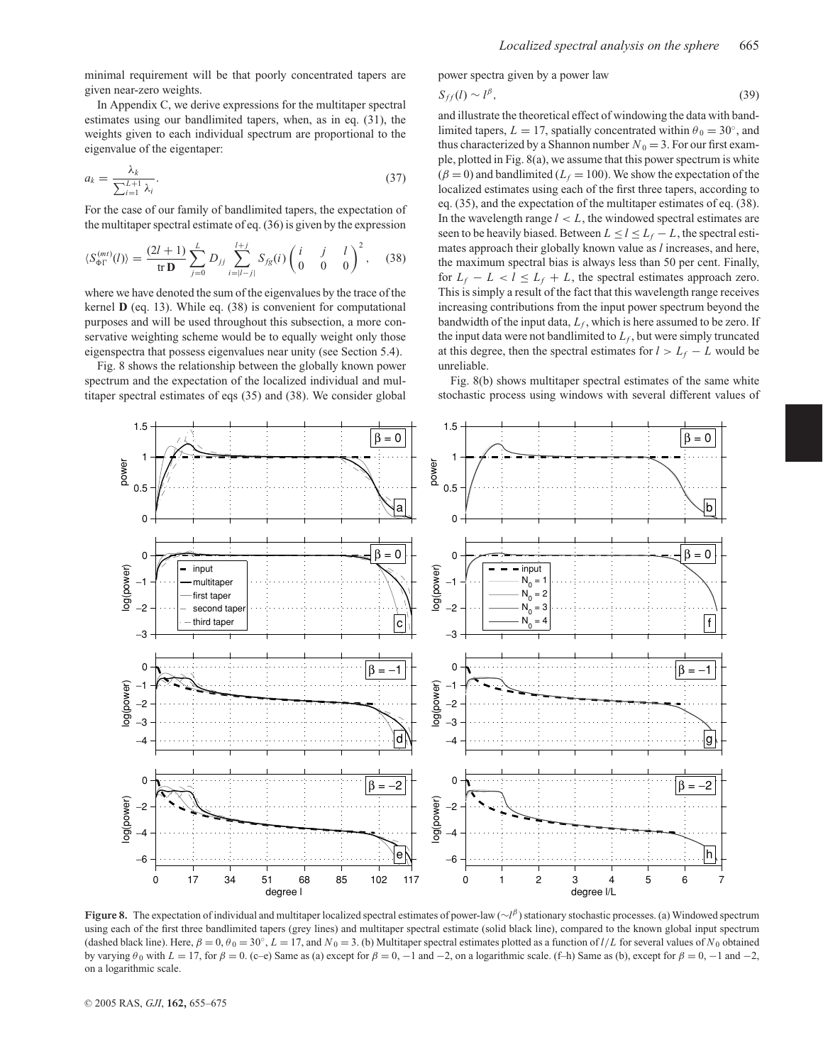minimal requirement will be that poorly concentrated tapers are given near-zero weights.

In Appendix C, we derive expressions for the multitaper spectral estimates using our bandlimited tapers, when, as in eq. (31), the weights given to each individual spectrum are proportional to the eigenvalue of the eigentaper:

$$
a_k = \frac{\lambda_k}{\sum_{i=1}^{L+1} \lambda_i}.\tag{37}
$$

For the case of our family of bandlimited tapers, the expectation of the multitaper spectral estimate of eq. (36) is given by the expression

$$
\langle S_{\Phi\Gamma}^{(mt)}(l)\rangle = \frac{(2l+1)}{\text{tr}\,\mathbf{D}} \sum_{j=0}^{L} D_{jj} \sum_{i=l'-j}^{l+j} S_{fg}(i) \begin{pmatrix} i & j & l \\ 0 & 0 & 0 \end{pmatrix}^2, \quad (38)
$$

where we have denoted the sum of the eigenvalues by the trace of the kernel **D** (eq. 13). While eq. (38) is convenient for computational purposes and will be used throughout this subsection, a more conservative weighting scheme would be to equally weight only those eigenspectra that possess eigenvalues near unity (see Section 5.4).

Fig. 8 shows the relationship between the globally known power spectrum and the expectation of the localized individual and multitaper spectral estimates of eqs (35) and (38). We consider global power spectra given by a power law

$$
S_{ff}(l) \sim l^{\beta},\tag{39}
$$

and illustrate the theoretical effect of windowing the data with bandlimited tapers,  $L = 17$ , spatially concentrated within  $\theta_0 = 30^\circ$ , and thus characterized by a Shannon number  $N_0 = 3$ . For our first example, plotted in Fig. 8(a), we assume that this power spectrum is white  $(\beta = 0)$  and bandlimited ( $L_f = 100$ ). We show the expectation of the localized estimates using each of the first three tapers, according to eq. (35), and the expectation of the multitaper estimates of eq. (38). In the wavelength range  $l < L$ , the windowed spectral estimates are seen to be heavily biased. Between  $L \leq l \leq L_f - L$ , the spectral estimates approach their globally known value as *l* increases, and here, the maximum spectral bias is always less than 50 per cent. Finally, for  $L_f - L < l \leq L_f + L$ , the spectral estimates approach zero. This is simply a result of the fact that this wavelength range receives increasing contributions from the input power spectrum beyond the bandwidth of the input data,  $L_f$ , which is here assumed to be zero. If the input data were not bandlimited to  $L_f$ , but were simply truncated at this degree, then the spectral estimates for  $l > L_f - L$  would be unreliable.

Fig. 8(b) shows multitaper spectral estimates of the same white stochastic process using windows with several different values of



**Figure 8.** The expectation of individual and multitaper localized spectral estimates of power-law (∼*l* <sup>β</sup> ) stationary stochastic processes. (a) Windowed spectrum using each of the first three bandlimited tapers (grey lines) and multitaper spectral estimate (solid black line), compared to the known global input spectrum (dashed black line). Here,  $\beta = 0$ ,  $\theta_0 = 30^\circ$ ,  $L = 17$ , and  $N_0 = 3$ . (b) Multitaper spectral estimates plotted as a function of *l/L* for several values of  $N_0$  obtained by varying  $\theta_0$  with  $L = 17$ , for  $\beta = 0$ . (c–e) Same as (a) except for  $\beta = 0$ ,  $-1$  and  $-2$ , on a logarithmic scale. (f–h) Same as (b), except for  $\beta = 0$ ,  $-1$  and  $-2$ , on a logarithmic scale.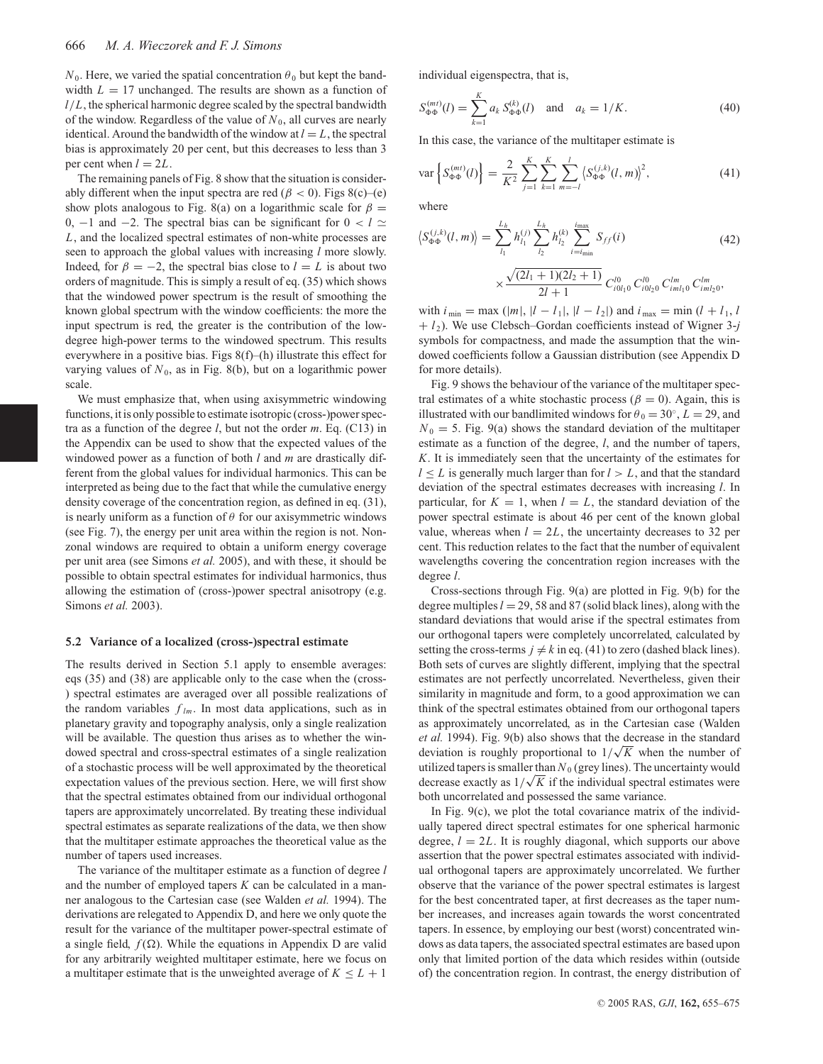$N_0$ . Here, we varied the spatial concentration  $\theta_0$  but kept the bandwidth  $L = 17$  unchanged. The results are shown as a function of  $l/L$ , the spherical harmonic degree scaled by the spectral bandwidth of the window. Regardless of the value of  $N_0$ , all curves are nearly identical. Around the bandwidth of the window at  $l = L$ , the spectral bias is approximately 20 per cent, but this decreases to less than 3 per cent when  $l = 2L$ .

The remaining panels of Fig. 8 show that the situation is considerably different when the input spectra are red ( $\beta$  < 0). Figs 8(c)–(e) show plots analogous to Fig. 8(a) on a logarithmic scale for  $\beta =$ 0, −1 and −2. The spectral bias can be significant for 0 < *l L*, and the localized spectral estimates of non-white processes are seen to approach the global values with increasing *l* more slowly. Indeed, for  $\beta = -2$ , the spectral bias close to  $l = L$  is about two orders of magnitude. This is simply a result of eq. (35) which shows that the windowed power spectrum is the result of smoothing the known global spectrum with the window coefficients: the more the input spectrum is red, the greater is the contribution of the lowdegree high-power terms to the windowed spectrum. This results everywhere in a positive bias. Figs 8(f)–(h) illustrate this effect for varying values of  $N_0$ , as in Fig. 8(b), but on a logarithmic power scale.

We must emphasize that, when using axisymmetric windowing functions, it is only possible to estimate isotropic (cross-)power spectra as a function of the degree *l*, but not the order *m*. Eq. (C13) in the Appendix can be used to show that the expected values of the windowed power as a function of both *l* and *m* are drastically different from the global values for individual harmonics. This can be interpreted as being due to the fact that while the cumulative energy density coverage of the concentration region, as defined in eq. (31), is nearly uniform as a function of  $\theta$  for our axisymmetric windows (see Fig. 7), the energy per unit area within the region is not. Nonzonal windows are required to obtain a uniform energy coverage per unit area (see Simons *et al.* 2005), and with these, it should be possible to obtain spectral estimates for individual harmonics, thus allowing the estimation of (cross-)power spectral anisotropy (e.g. Simons *et al.* 2003).

## **5.2 Variance of a localized (cross-)spectral estimate**

The results derived in Section 5.1 apply to ensemble averages: eqs (35) and (38) are applicable only to the case when the (cross- ) spectral estimates are averaged over all possible realizations of the random variables  $f_{lm}$ . In most data applications, such as in planetary gravity and topography analysis, only a single realization will be available. The question thus arises as to whether the windowed spectral and cross-spectral estimates of a single realization of a stochastic process will be well approximated by the theoretical expectation values of the previous section. Here, we will first show that the spectral estimates obtained from our individual orthogonal tapers are approximately uncorrelated. By treating these individual spectral estimates as separate realizations of the data, we then show that the multitaper estimate approaches the theoretical value as the number of tapers used increases.

The variance of the multitaper estimate as a function of degree *l* and the number of employed tapers *K* can be calculated in a manner analogous to the Cartesian case (see Walden *et al.* 1994). The derivations are relegated to Appendix D, and here we only quote the result for the variance of the multitaper power-spectral estimate of a single field,  $f(\Omega)$ . While the equations in Appendix D are valid for any arbitrarily weighted multitaper estimate, here we focus on a multitaper estimate that is the unweighted average of  $K \leq L + 1$ 

individual eigenspectra, that is,

$$
S_{\Phi\Phi}^{(mt)}(l) = \sum_{k=1}^{K} a_k S_{\Phi\Phi}^{(k)}(l) \quad \text{and} \quad a_k = 1/K. \tag{40}
$$

In this case, the variance of the multitaper estimate is

$$
\text{var}\left\{S_{\Phi\Phi}^{(mt)}(l)\right\} = \frac{2}{K^2} \sum_{j=1}^K \sum_{k=1}^K \sum_{m=-l}^l \left\langle S_{\Phi\Phi}^{(j,k)}(l,m)\right\rangle^2,\tag{41}
$$

where

$$
\langle S_{\Phi\Phi}^{(j,k)}(l,m)\rangle = \sum_{l_1}^{L_h} h_{l_1}^{(j)} \sum_{l_2}^{L_h} h_{l_2}^{(k)} \sum_{i=i_{\text{min}}}^{i_{\text{max}}} S_{ff}(i) \tag{42}
$$

$$
\times \frac{\sqrt{(2l_1+1)(2l_2+1)}}{2l+1} C_{i0l_10}^{l0} C_{i0l_20}^{l0} C_{iml_10}^{lm} C_{iml_20}^{lm},
$$

with  $i_{\min} = \max(|m|, |l - l_1|, |l - l_2|)$  and  $i_{\max} = \min (l + l_1, l)$  $+ l_2$ ). We use Clebsch–Gordan coefficients instead of Wigner 3-*j* symbols for compactness, and made the assumption that the windowed coefficients follow a Gaussian distribution (see Appendix D for more details).

Fig. 9 shows the behaviour of the variance of the multitaper spectral estimates of a white stochastic process ( $\beta = 0$ ). Again, this is illustrated with our bandlimited windows for  $\theta_0 = 30^\circ$ ,  $L = 29$ , and  $N_0 = 5$ . Fig. 9(a) shows the standard deviation of the multitaper estimate as a function of the degree, *l*, and the number of tapers, *K*. It is immediately seen that the uncertainty of the estimates for *l*  $\leq$  *L* is generally much larger than for *l* > *L*, and that the standard deviation of the spectral estimates decreases with increasing *l*. In particular, for  $K = 1$ , when  $l = L$ , the standard deviation of the power spectral estimate is about 46 per cent of the known global value, whereas when  $l = 2L$ , the uncertainty decreases to 32 per cent. This reduction relates to the fact that the number of equivalent wavelengths covering the concentration region increases with the degree *l*.

Cross-sections through Fig. 9(a) are plotted in Fig. 9(b) for the degree multiples*l* = 29, 58 and 87 (solid black lines), along with the standard deviations that would arise if the spectral estimates from our orthogonal tapers were completely uncorrelated, calculated by setting the cross-terms  $j \neq k$  in eq. (41) to zero (dashed black lines). Both sets of curves are slightly different, implying that the spectral estimates are not perfectly uncorrelated. Nevertheless, given their similarity in magnitude and form, to a good approximation we can think of the spectral estimates obtained from our orthogonal tapers as approximately uncorrelated, as in the Cartesian case (Walden *et al.* 1994). Fig. 9(b) also shows that the decrease in the standard *et al.* 1994). Fig. 9(b) also shows that the decrease in the standard deviation is roughly proportional to  $1/\sqrt{K}$  when the number of utilized tapers is smaller than  $N_0$  (grey lines). The uncertainty would utilized tapers is smaller than  $N_0$  (grey lines). The uncertainty would<br>decrease exactly as  $1/\sqrt{K}$  if the individual spectral estimates were both uncorrelated and possessed the same variance.

In Fig. 9(c), we plot the total covariance matrix of the individually tapered direct spectral estimates for one spherical harmonic degree,  $l = 2L$ . It is roughly diagonal, which supports our above assertion that the power spectral estimates associated with individual orthogonal tapers are approximately uncorrelated. We further observe that the variance of the power spectral estimates is largest for the best concentrated taper, at first decreases as the taper number increases, and increases again towards the worst concentrated tapers. In essence, by employing our best (worst) concentrated windows as data tapers, the associated spectral estimates are based upon only that limited portion of the data which resides within (outside of) the concentration region. In contrast, the energy distribution of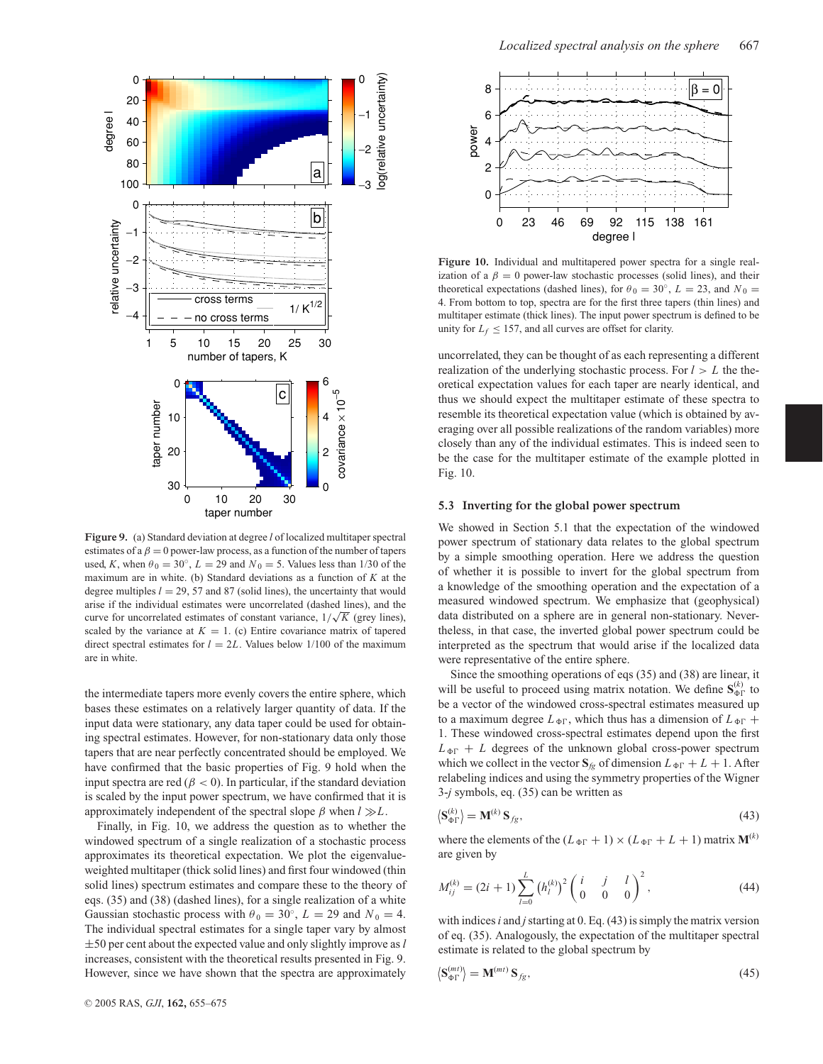

**Figure 9.** (a) Standard deviation at degree *l* of localized multitaper spectral estimates of a  $\beta = 0$  power-law process, as a function of the number of tapers used, *K*, when  $\theta_0 = 30^\circ$ ,  $L = 29$  and  $N_0 = 5$ . Values less than 1/30 of the maximum are in white. (b) Standard deviations as a function of *K* at the degree multiples  $l = 29, 57$  and 87 (solid lines), the uncertainty that would arise if the individual estimates were uncorrelated (dashed lines), and the arise it the matyloual estimates were uncorrelated (dashed lines), and the curve for uncorrelated estimates of constant variance,  $1/\sqrt{K}$  (grey lines), scaled by the variance at  $K = 1$ . (c) Entire covariance matrix of tapered direct spectral estimates for  $l = 2L$ . Values below 1/100 of the maximum are in white.

the intermediate tapers more evenly covers the entire sphere, which bases these estimates on a relatively larger quantity of data. If the input data were stationary, any data taper could be used for obtaining spectral estimates. However, for non-stationary data only those tapers that are near perfectly concentrated should be employed. We have confirmed that the basic properties of Fig. 9 hold when the input spectra are red ( $\beta$  < 0). In particular, if the standard deviation is scaled by the input power spectrum, we have confirmed that it is approximately independent of the spectral slope  $\beta$  when  $l \gg L$ .

Finally, in Fig. 10, we address the question as to whether the windowed spectrum of a single realization of a stochastic process approximates its theoretical expectation. We plot the eigenvalueweighted multitaper (thick solid lines) and first four windowed (thin solid lines) spectrum estimates and compare these to the theory of eqs. (35) and (38) (dashed lines), for a single realization of a white Gaussian stochastic process with  $\theta_0 = 30^\circ$ ,  $L = 29$  and  $N_0 = 4$ . The individual spectral estimates for a single taper vary by almost ±50 per cent about the expected value and only slightly improve as*l* increases, consistent with the theoretical results presented in Fig. 9. However, since we have shown that the spectra are approximately



**Figure 10.** Individual and multitapered power spectra for a single realization of a  $\beta = 0$  power-law stochastic processes (solid lines), and their theoretical expectations (dashed lines), for  $\theta_0 = 30^\circ$ ,  $L = 23$ , and  $N_0 =$ 4. From bottom to top, spectra are for the first three tapers (thin lines) and multitaper estimate (thick lines). The input power spectrum is defined to be unity for  $L_f \le 157$ , and all curves are offset for clarity.

uncorrelated, they can be thought of as each representing a different realization of the underlying stochastic process. For  $l > L$  the theoretical expectation values for each taper are nearly identical, and thus we should expect the multitaper estimate of these spectra to resemble its theoretical expectation value (which is obtained by averaging over all possible realizations of the random variables) more closely than any of the individual estimates. This is indeed seen to be the case for the multitaper estimate of the example plotted in Fig. 10.

#### **5.3 Inverting for the global power spectrum**

We showed in Section 5.1 that the expectation of the windowed power spectrum of stationary data relates to the global spectrum by a simple smoothing operation. Here we address the question of whether it is possible to invert for the global spectrum from a knowledge of the smoothing operation and the expectation of a measured windowed spectrum. We emphasize that (geophysical) data distributed on a sphere are in general non-stationary. Nevertheless, in that case, the inverted global power spectrum could be interpreted as the spectrum that would arise if the localized data were representative of the entire sphere.

Since the smoothing operations of eqs (35) and (38) are linear, it will be useful to proceed using matrix notation. We define  $S^{(k)}_{\Phi\Gamma}$  to be a vector of the windowed cross-spectral estimates measured up to a maximum degree  $L_{\Phi\Gamma}$ , which thus has a dimension of  $L_{\Phi\Gamma}$  + 1. These windowed cross-spectral estimates depend upon the first  $L_{\Phi\Gamma} + L$  degrees of the unknown global cross-power spectrum which we collect in the vector  $\mathbf{S}_{fg}$  of dimension  $L_{\Phi\Gamma} + L + 1$ . After relabeling indices and using the symmetry properties of the Wigner 3-*j* symbols, eq. (35) can be written as

$$
\left\langle \mathbf{S}_{\Phi\Gamma}^{(k)} \right\rangle = \mathbf{M}^{(k)} \, \mathbf{S}_{fg},\tag{43}
$$

where the elements of the  $(L_{\Phi\Gamma} + 1) \times (L_{\Phi\Gamma} + L + 1)$  matrix  $\mathbf{M}^{(k)}$ are given by

$$
M_{ij}^{(k)} = (2i+1) \sum_{l=0}^{L} (h_l^{(k)})^2 \begin{pmatrix} i & j & l \\ 0 & 0 & 0 \end{pmatrix}^2,
$$
 (44)

with indices*i* and *j*starting at 0. Eq. (43) is simply the matrix version of eq. (35). Analogously, the expectation of the multitaper spectral estimate is related to the global spectrum by

$$
\left\langle \mathbf{S}_{\Phi\Gamma}^{(mt)} \right\rangle = \mathbf{M}^{(mt)} \, \mathbf{S}_{fg},\tag{45}
$$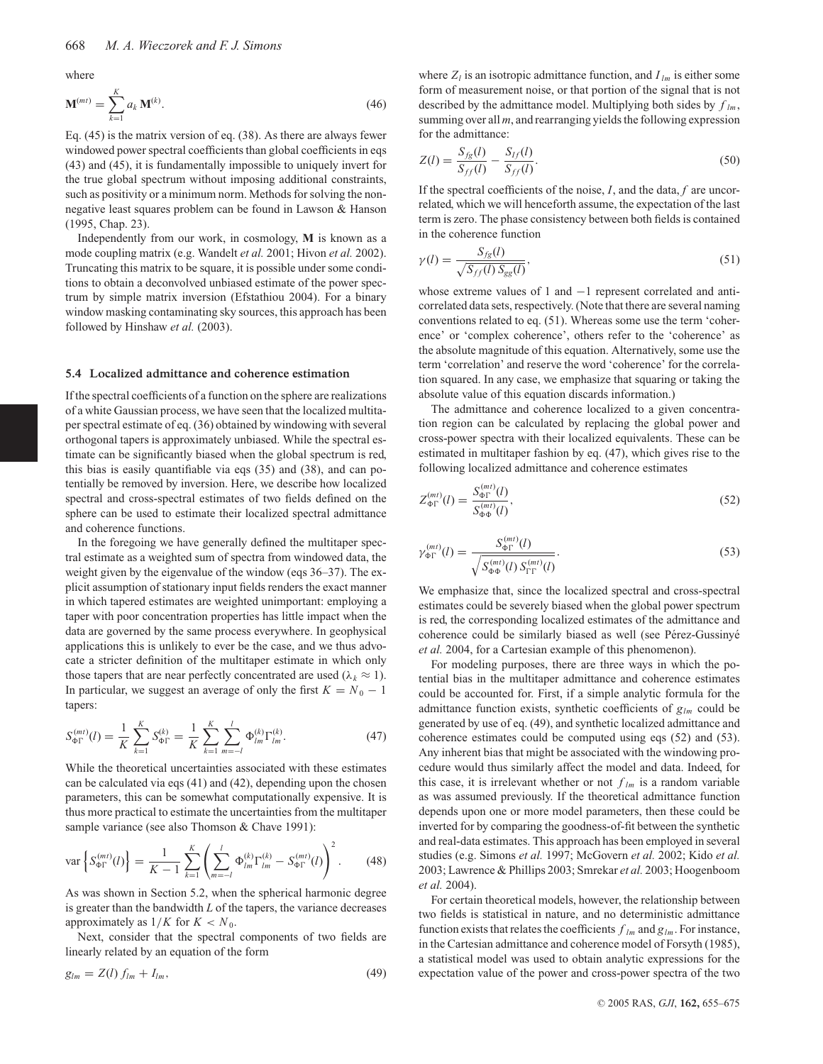where

$$
\mathbf{M}^{(mt)} = \sum_{k=1}^{K} a_k \, \mathbf{M}^{(k)}.\tag{46}
$$

Eq. (45) is the matrix version of eq. (38). As there are always fewer windowed power spectral coefficients than global coefficients in eqs (43) and (45), it is fundamentally impossible to uniquely invert for the true global spectrum without imposing additional constraints, such as positivity or a minimum norm. Methods for solving the nonnegative least squares problem can be found in Lawson & Hanson (1995, Chap. 23).

Independently from our work, in cosmology, **M** is known as a mode coupling matrix (e.g. Wandelt *et al.* 2001; Hivon *et al.* 2002). Truncating this matrix to be square, it is possible under some conditions to obtain a deconvolved unbiased estimate of the power spectrum by simple matrix inversion (Efstathiou 2004). For a binary window masking contaminating sky sources, this approach has been followed by Hinshaw et al. (2003).

### **5.4 Localized admittance and coherence estimation**

If the spectral coefficients of a function on the sphere are realizations of a white Gaussian process, we have seen that the localized multitaper spectral estimate of eq. (36) obtained by windowing with several orthogonal tapers is approximately unbiased. While the spectral estimate can be significantly biased when the global spectrum is red, this bias is easily quantifiable via eqs (35) and (38), and can potentially be removed by inversion. Here, we describe how localized spectral and cross-spectral estimates of two fields defined on the sphere can be used to estimate their localized spectral admittance and coherence functions.

In the foregoing we have generally defined the multitaper spectral estimate as a weighted sum of spectra from windowed data, the weight given by the eigenvalue of the window (eqs 36–37). The explicit assumption of stationary input fields renders the exact manner in which tapered estimates are weighted unimportant: employing a taper with poor concentration properties has little impact when the data are governed by the same process everywhere. In geophysical applications this is unlikely to ever be the case, and we thus advocate a stricter definition of the multitaper estimate in which only those tapers that are near perfectly concentrated are used  $(\lambda_k \approx 1)$ . In particular, we suggest an average of only the first  $K = N_0 - 1$ tapers:

$$
S_{\Phi\Gamma}^{(mt)}(l) = \frac{1}{K} \sum_{k=1}^{K} S_{\Phi\Gamma}^{(k)} = \frac{1}{K} \sum_{k=1}^{K} \sum_{m=-l}^{l} \Phi_{lm}^{(k)} \Gamma_{lm}^{(k)}.
$$
 (47)

While the theoretical uncertainties associated with these estimates can be calculated via eqs (41) and (42), depending upon the chosen parameters, this can be somewhat computationally expensive. It is thus more practical to estimate the uncertainties from the multitaper sample variance (see also Thomson & Chave 1991):

$$
\text{var}\left\{S_{\Phi\Gamma}^{(mt)}(l)\right\} = \frac{1}{K-1} \sum_{k=1}^{K} \left( \sum_{m=-l}^{l} \Phi_{lm}^{(k)} \Gamma_{lm}^{(k)} - S_{\Phi\Gamma}^{(mt)}(l) \right)^2. \tag{48}
$$

As was shown in Section 5.2, when the spherical harmonic degree is greater than the bandwidth *L* of the tapers, the variance decreases approximately as  $1/K$  for  $K < N_0$ .

Next, consider that the spectral components of two fields are linearly related by an equation of the form

$$
g_{lm} = Z(l) f_{lm} + I_{lm}, \t\t(49)
$$

where  $Z_l$  is an isotropic admittance function, and  $I_{lm}$  is either some form of measurement noise, or that portion of the signal that is not described by the admittance model. Multiplying both sides by *f lm*, summing over all *m*, and rearranging yields the following expression for the admittance:

$$
Z(l) = \frac{S_{fg}(l)}{S_{ff}(l)} - \frac{S_{If}(l)}{S_{ff}(l)}.
$$
\n(50)

If the spectral coefficients of the noise, *I*, and the data, *f* are uncorrelated, which we will henceforth assume, the expectation of the last term is zero. The phase consistency between both fields is contained in the coherence function

$$
\gamma(l) = \frac{S_{fg}(l)}{\sqrt{S_{ff}(l) S_{gg}(l)}},\tag{51}
$$

whose extreme values of 1 and −1 represent correlated and anticorrelated data sets, respectively. (Note that there are several naming conventions related to eq. (51). Whereas some use the term 'coherence' or 'complex coherence', others refer to the 'coherence' as the absolute magnitude of this equation. Alternatively, some use the term 'correlation' and reserve the word 'coherence' for the correlation squared. In any case, we emphasize that squaring or taking the absolute value of this equation discards information.)

The admittance and coherence localized to a given concentration region can be calculated by replacing the global power and cross-power spectra with their localized equivalents. These can be estimated in multitaper fashion by eq. (47), which gives rise to the following localized admittance and coherence estimates

$$
Z_{\Phi\Gamma}^{(mt)}(l) = \frac{S_{\Phi\Gamma}^{(mt)}(l)}{S_{\Phi\Phi}^{(mt)}(l)},
$$
\n(52)

$$
\gamma_{\Phi\Gamma}^{(mt)}(l) = \frac{S_{\Phi\Gamma}^{(mt)}(l)}{\sqrt{S_{\Phi\Phi}^{(mt)}(l) S_{\Gamma\Gamma}^{(mt)}(l)}}.
$$
\n(53)

We emphasize that, since the localized spectral and cross-spectral estimates could be severely biased when the global power spectrum is red, the corresponding localized estimates of the admittance and coherence could be similarly biased as well (see Pérez-Gussinyé *et al.* 2004, for a Cartesian example of this phenomenon).

For modeling purposes, there are three ways in which the potential bias in the multitaper admittance and coherence estimates could be accounted for. First, if a simple analytic formula for the admittance function exists, synthetic coefficients of *glm* could be generated by use of eq. (49), and synthetic localized admittance and coherence estimates could be computed using eqs (52) and (53). Any inherent bias that might be associated with the windowing procedure would thus similarly affect the model and data. Indeed, for this case, it is irrelevant whether or not  $f_{lm}$  is a random variable as was assumed previously. If the theoretical admittance function depends upon one or more model parameters, then these could be inverted for by comparing the goodness-of-fit between the synthetic and real-data estimates. This approach has been employed in several studies (e.g. Simons *et al.* 1997; McGovern *et al.* 2002; Kido *et al.* 2003; Lawrence & Phillips 2003; Smrekar *et al.* 2003; Hoogenboom *et al.* 2004).

For certain theoretical models, however, the relationship between two fields is statistical in nature, and no deterministic admittance function exists that relates the coefficients  $f_{lm}$  and  $g_{lm}$ . For instance, in the Cartesian admittance and coherence model of Forsyth (1985), a statistical model was used to obtain analytic expressions for the expectation value of the power and cross-power spectra of the two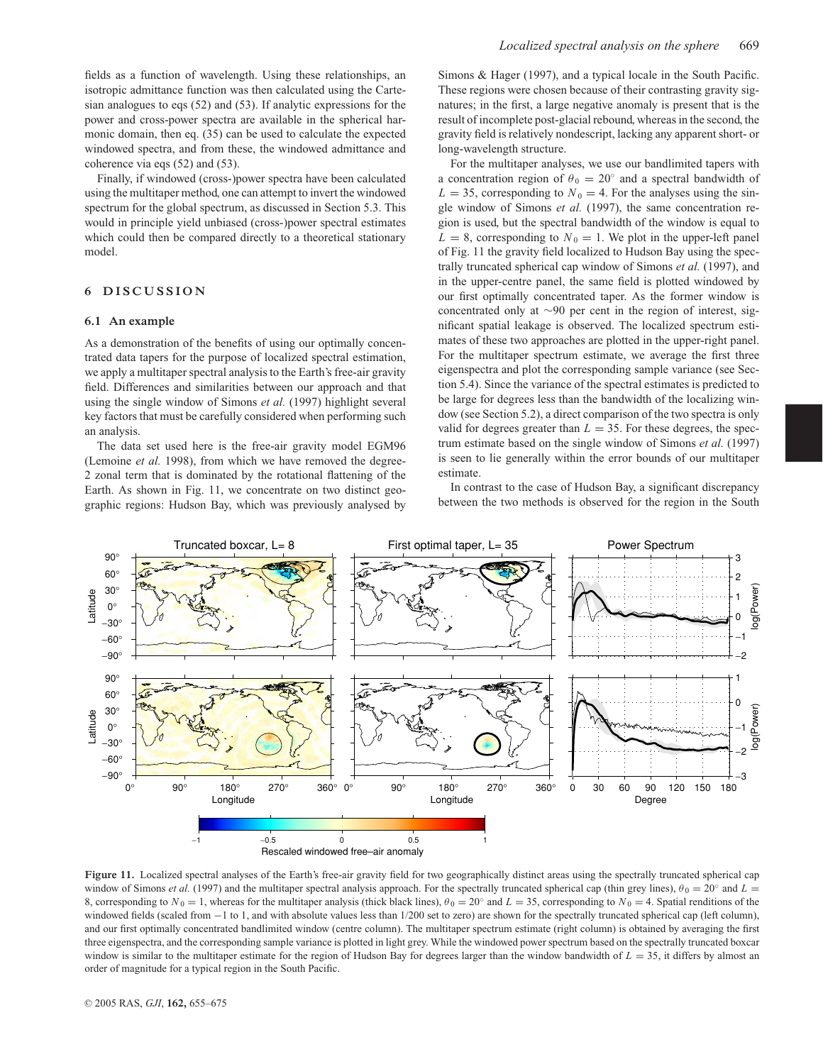fields as a function of wavelength. Using these relationships, an isotropic admittance function was then calculated using the Cartesian analogues to eqs (52) and (53). If analytic expressions for the power and cross-power spectra are available in the spherical harmonic domain, then eq. (35) can be used to calculate the expected windowed spectra, and from these, the windowed admittance and coherence via eqs (52) and (53).

Finally, if windowed (cross-)power spectra have been calculated using the multitaper method, one can attempt to invert the windowed spectrum for the global spectrum, as discussed in Section 5.3. This would in principle yield unbiased (cross-)power spectral estimates which could then be compared directly to a theoretical stationary model.

# **6 DIS CUSSION**

#### **6.1 An example**

As a demonstration of the benefits of using our optimally concentrated data tapers for the purpose of localized spectral estimation, we apply a multitaper spectral analysis to the Earth's free-air gravity field. Differences and similarities between our approach and that using the single window of Simons *et al.* (1997) highlight several key factors that must be carefully considered when performing such an analysis.

The data set used here is the free-air gravity model EGM96 (Lemoine *et al.* 1998), from which we have removed the degree-2 zonal term that is dominated by the rotational flattening of the Earth. As shown in Fig. 11, we concentrate on two distinct geographic regions: Hudson Bay, which was previously analysed by

Simons & Hager (1997), and a typical locale in the South Pacific. These regions were chosen because of their contrasting gravity signatures; in the first, a large negative anomaly is present that is the result of incomplete post-glacial rebound, whereas in the second, the gravity field is relatively nondescript, lacking any apparent short- or long-wavelength structure.

For the multitaper analyses, we use our bandlimited tapers with a concentration region of  $\theta_0 = 20^\circ$  and a spectral bandwidth of  $L = 35$ , corresponding to  $N_0 = 4$ . For the analyses using the single window of Simons *et al.* (1997), the same concentration region is used, but the spectral bandwidth of the window is equal to  $L = 8$ , corresponding to  $N_0 = 1$ . We plot in the upper-left panel of Fig. 11 the gravity field localized to Hudson Bay using the spectrally truncated spherical cap window of Simons *et al.* (1997), and in the upper-centre panel, the same field is plotted windowed by our first optimally concentrated taper. As the former window is concentrated only at ∼90 per cent in the region of interest, significant spatial leakage is observed. The localized spectrum estimates of these two approaches are plotted in the upper-right panel. For the multitaper spectrum estimate, we average the first three eigenspectra and plot the corresponding sample variance (see Section 5.4). Since the variance of the spectral estimates is predicted to be large for degrees less than the bandwidth of the localizing window (see Section 5.2), a direct comparison of the two spectra is only valid for degrees greater than  $L = 35$ . For these degrees, the spectrum estimate based on the single window of Simons *et al.* (1997) is seen to lie generally within the error bounds of our multitaper estimate.

In contrast to the case of Hudson Bay, a significant discrepancy between the two methods is observed for the region in the South



Figure 11. Localized spectral analyses of the Earth's free-air gravity field for two geographically distinct areas using the spectrally truncated spherical cap window of Simons *et al.* (1997) and the multitaper spectral analysis approach. For the spectrally truncated spherical cap (thin grey lines),  $\theta_0 = 20^\circ$  and  $L =$ 8, corresponding to  $N_0 = 1$ , whereas for the multitaper analysis (thick black lines),  $\theta_0 = 20^\circ$  and  $L = 35$ , corresponding to  $N_0 = 4$ . Spatial renditions of the windowed fields (scaled from −1 to 1, and with absolute values less than 1/200 set to zero) are shown for the spectrally truncated spherical cap (left column), and our first optimally concentrated bandlimited window (centre column). The multitaper spectrum estimate (right column) is obtained by averaging the first three eigenspectra, and the corresponding sample variance is plotted in light grey. While the windowed power spectrum based on the spectrally truncated boxcar window is similar to the multitaper estimate for the region of Hudson Bay for degrees larger than the window bandwidth of  $L = 35$ , it differs by almost an order of magnitude for a typical region in the South Pacific.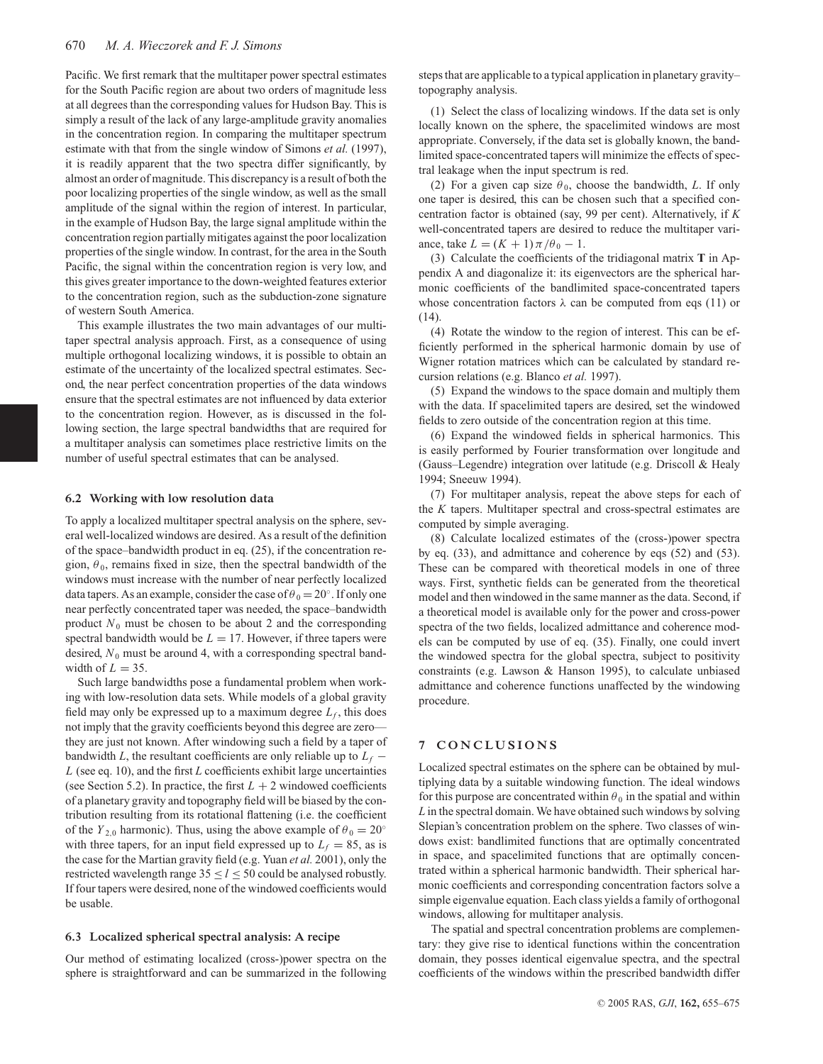Pacific. We first remark that the multitaper power spectral estimates for the South Pacific region are about two orders of magnitude less at all degrees than the corresponding values for Hudson Bay. This is simply a result of the lack of any large-amplitude gravity anomalies in the concentration region. In comparing the multitaper spectrum estimate with that from the single window of Simons *et al.* (1997), it is readily apparent that the two spectra differ significantly, by almost an order of magnitude. This discrepancy is a result of both the poor localizing properties of the single window, as well as the small amplitude of the signal within the region of interest. In particular, in the example of Hudson Bay, the large signal amplitude within the concentration region partially mitigates against the poor localization properties of the single window. In contrast, for the area in the South Pacific, the signal within the concentration region is very low, and this gives greater importance to the down-weighted features exterior to the concentration region, such as the subduction-zone signature of western South America.

This example illustrates the two main advantages of our multitaper spectral analysis approach. First, as a consequence of using multiple orthogonal localizing windows, it is possible to obtain an estimate of the uncertainty of the localized spectral estimates. Second, the near perfect concentration properties of the data windows ensure that the spectral estimates are not influenced by data exterior to the concentration region. However, as is discussed in the following section, the large spectral bandwidths that are required for a multitaper analysis can sometimes place restrictive limits on the number of useful spectral estimates that can be analysed.

#### **6.2 Working with low resolution data**

To apply a localized multitaper spectral analysis on the sphere, several well-localized windows are desired. As a result of the definition of the space–bandwidth product in eq. (25), if the concentration region,  $\theta_0$ , remains fixed in size, then the spectral bandwidth of the windows must increase with the number of near perfectly localized data tapers. As an example, consider the case of  $\theta_0 = 20^\circ$ . If only one near perfectly concentrated taper was needed, the space–bandwidth product  $N_0$  must be chosen to be about 2 and the corresponding spectral bandwidth would be  $L = 17$ . However, if three tapers were desired,  $N_0$  must be around 4, with a corresponding spectral bandwidth of  $L = 35$ .

Such large bandwidths pose a fundamental problem when working with low-resolution data sets. While models of a global gravity field may only be expressed up to a maximum degree  $L_f$ , this does not imply that the gravity coefficients beyond this degree are zero they are just not known. After windowing such a field by a taper of bandwidth *L*, the resultant coefficients are only reliable up to  $L_f$  − *L* (see eq. 10), and the first *L* coefficients exhibit large uncertainties (see Section 5.2). In practice, the first  $L + 2$  windowed coefficients of a planetary gravity and topography field will be biased by the contribution resulting from its rotational flattening (i.e. the coefficient of the  $Y_{2,0}$  harmonic). Thus, using the above example of  $\theta_0 = 20^\circ$ with three tapers, for an input field expressed up to  $L_f = 85$ , as is the case for the Martian gravity field (e.g. Yuan *et al.* 2001), only the restricted wavelength range  $35 \le l \le 50$  could be analysed robustly. If four tapers were desired, none of the windowed coefficients would be usable.

### **6.3 Localized spherical spectral analysis: A recipe**

Our method of estimating localized (cross-)power spectra on the sphere is straightforward and can be summarized in the following steps that are applicable to a typical application in planetary gravity– topography analysis.

(1) Select the class of localizing windows. If the data set is only locally known on the sphere, the spacelimited windows are most appropriate. Conversely, if the data set is globally known, the bandlimited space-concentrated tapers will minimize the effects of spectral leakage when the input spectrum is red.

(2) For a given cap size  $\theta_0$ , choose the bandwidth, *L*. If only one taper is desired, this can be chosen such that a specified concentration factor is obtained (say, 99 per cent). Alternatively, if *K* well-concentrated tapers are desired to reduce the multitaper variance, take  $L = (K + 1)\pi/\theta_0 - 1$ .

(3) Calculate the coefficients of the tridiagonal matrix **T** in Appendix A and diagonalize it: its eigenvectors are the spherical harmonic coefficients of the bandlimited space-concentrated tapers whose concentration factors  $\lambda$  can be computed from eqs (11) or  $(14)$ .

(4) Rotate the window to the region of interest. This can be efficiently performed in the spherical harmonic domain by use of Wigner rotation matrices which can be calculated by standard recursion relations (e.g. Blanco *et al.* 1997).

(5) Expand the windows to the space domain and multiply them with the data. If spacelimited tapers are desired, set the windowed fields to zero outside of the concentration region at this time.

(6) Expand the windowed fields in spherical harmonics. This is easily performed by Fourier transformation over longitude and (Gauss–Legendre) integration over latitude (e.g. Driscoll & Healy 1994; Sneeuw 1994).

(7) For multitaper analysis, repeat the above steps for each of the *K* tapers. Multitaper spectral and cross-spectral estimates are computed by simple averaging.

(8) Calculate localized estimates of the (cross-)power spectra by eq. (33), and admittance and coherence by eqs (52) and (53). These can be compared with theoretical models in one of three ways. First, synthetic fields can be generated from the theoretical model and then windowed in the same manner as the data. Second, if a theoretical model is available only for the power and cross-power spectra of the two fields, localized admittance and coherence models can be computed by use of eq. (35). Finally, one could invert the windowed spectra for the global spectra, subject to positivity constraints (e.g. Lawson & Hanson 1995), to calculate unbiased admittance and coherence functions unaffected by the windowing procedure.

# 7 CONCLUSIONS

Localized spectral estimates on the sphere can be obtained by multiplying data by a suitable windowing function. The ideal windows for this purpose are concentrated within  $\theta_0$  in the spatial and within *L* in the spectral domain. We have obtained such windows by solving Slepian's concentration problem on the sphere. Two classes of windows exist: bandlimited functions that are optimally concentrated in space, and spacelimited functions that are optimally concentrated within a spherical harmonic bandwidth. Their spherical harmonic coefficients and corresponding concentration factors solve a simple eigenvalue equation. Each class yields a family of orthogonal windows, allowing for multitaper analysis.

The spatial and spectral concentration problems are complementary: they give rise to identical functions within the concentration domain, they posses identical eigenvalue spectra, and the spectral coefficients of the windows within the prescribed bandwidth differ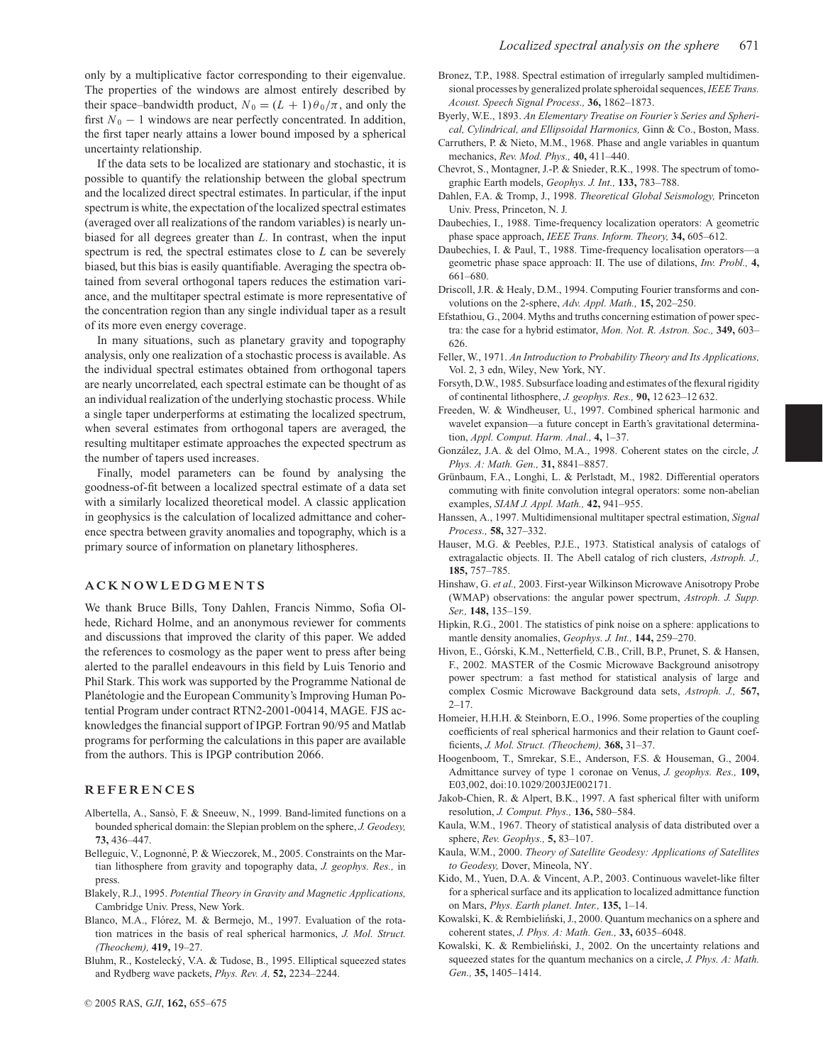only by a multiplicative factor corresponding to their eigenvalue. The properties of the windows are almost entirely described by their space–bandwidth product,  $N_0 = (L + 1)\theta_0/\pi$ , and only the first  $N_0 - 1$  windows are near perfectly concentrated. In addition, the first taper nearly attains a lower bound imposed by a spherical uncertainty relationship.

If the data sets to be localized are stationary and stochastic, it is possible to quantify the relationship between the global spectrum and the localized direct spectral estimates. In particular, if the input spectrum is white, the expectation of the localized spectral estimates (averaged over all realizations of the random variables) is nearly unbiased for all degrees greater than *L*. In contrast, when the input spectrum is red, the spectral estimates close to *L* can be severely biased, but this bias is easily quantifiable. Averaging the spectra obtained from several orthogonal tapers reduces the estimation variance, and the multitaper spectral estimate is more representative of the concentration region than any single individual taper as a result of its more even energy coverage.

In many situations, such as planetary gravity and topography analysis, only one realization of a stochastic process is available. As the individual spectral estimates obtained from orthogonal tapers are nearly uncorrelated, each spectral estimate can be thought of as an individual realization of the underlying stochastic process. While a single taper underperforms at estimating the localized spectrum, when several estimates from orthogonal tapers are averaged, the resulting multitaper estimate approaches the expected spectrum as the number of tapers used increases.

Finally, model parameters can be found by analysing the goodness-of-fit between a localized spectral estimate of a data set with a similarly localized theoretical model. A classic application in geophysics is the calculation of localized admittance and coherence spectra between gravity anomalies and topography, which is a primary source of information on planetary lithospheres.

# **ACKNOW LEDGMENTS**

We thank Bruce Bills, Tony Dahlen, Francis Nimmo, Sofia Olhede, Richard Holme, and an anonymous reviewer for comments and discussions that improved the clarity of this paper. We added the references to cosmology as the paper went to press after being alerted to the parallel endeavours in this field by Luis Tenorio and Phil Stark. This work was supported by the Programme National de Planétologie and the European Community's Improving Human Potential Program under contract RTN2-2001-00414, MAGE. FJS acknowledges the financial support of IPGP. Fortran 90/95 and Matlab programs for performing the calculations in this paper are available from the authors. This is IPGP contribution 2066.

### **REFERENCES**

- Albertella, A., Sansò, F. & Sneeuw, N., 1999. Band-limited functions on a bounded spherical domain: the Slepian problem on the sphere, *J. Geodesy,* **73,** 436–447.
- Belleguic, V., Lognonné, P. & Wieczorek, M., 2005. Constraints on the Martian lithosphere from gravity and topography data, *J. geophys. Res.,* in press.
- Blakely, R.J., 1995. *Potential Theory in Gravity and Magnetic Applications,* Cambridge Univ. Press, New York.
- Blanco, M.A., Flórez, M. & Bermejo, M., 1997. Evaluation of the rotation matrices in the basis of real spherical harmonics, *J. Mol. Struct. (Theochem),* **419,** 19–27.
- Bluhm, R., Kosteleck´y, V.A. & Tudose, B., 1995. Elliptical squeezed states and Rydberg wave packets, *Phys. Rev. A,* **52,** 2234–2244.
- Bronez, T.P., 1988. Spectral estimation of irregularly sampled multidimensional processes by generalized prolate spheroidal sequences,*IEEE Trans. Acoust. Speech Signal Process.,* **36,** 1862–1873.
- Byerly, W.E., 1893. *An Elementary Treatise on Fourier's Series and Spherical, Cylindrical, and Ellipsoidal Harmonics,* Ginn & Co., Boston, Mass.
- Carruthers, P. & Nieto, M.M., 1968. Phase and angle variables in quantum mechanics, *Rev. Mod. Phys.,* **40,** 411–440.
- Chevrot, S., Montagner, J.-P. & Snieder, R.K., 1998. The spectrum of tomographic Earth models, *Geophys. J. Int.,* **133,** 783–788.
- Dahlen, F.A. & Tromp, J., 1998. *Theoretical Global Seismology,* Princeton Univ. Press, Princeton, N. J.
- Daubechies, I., 1988. Time-frequency localization operators: A geometric phase space approach, *IEEE Trans. Inform. Theory,* **34,** 605–612.
- Daubechies, I. & Paul, T., 1988. Time-frequency localisation operators—a geometric phase space approach: II. The use of dilations, *Inv. Probl.,* **4,** 661–680.
- Driscoll, J.R. & Healy, D.M., 1994. Computing Fourier transforms and convolutions on the 2-sphere, *Adv. Appl. Math.,* **15,** 202–250.
- Efstathiou, G., 2004. Myths and truths concerning estimation of power spectra: the case for a hybrid estimator, *Mon. Not. R. Astron. Soc.,* **349,** 603– 626.
- Feller, W., 1971. *An Introduction to Probability Theory and Its Applications,* Vol. 2, 3 edn, Wiley, New York, NY.
- Forsyth, D.W., 1985. Subsurface loading and estimates of the flexural rigidity of continental lithosphere, *J. geophys. Res.,* **90,** 12 623–12 632.
- Freeden, W. & Windheuser, U., 1997. Combined spherical harmonic and wavelet expansion—a future concept in Earth's gravitational determination, *Appl. Comput. Harm. Anal.,* **4,** 1–37.
- Gonz´alez, J.A. & del Olmo, M.A., 1998. Coherent states on the circle, *J. Phys. A: Math. Gen.,* **31,** 8841–8857.
- Grünbaum, F.A., Longhi, L. & Perlstadt, M., 1982. Differential operators commuting with finite convolution integral operators: some non-abelian examples, *SIAM J. Appl. Math.,* **42,** 941–955.
- Hanssen, A., 1997. Multidimensional multitaper spectral estimation, *Signal Process.,* **58,** 327–332.
- Hauser, M.G. & Peebles, P.J.E., 1973. Statistical analysis of catalogs of extragalactic objects. II. The Abell catalog of rich clusters, *Astroph. J.,* **185,** 757–785.
- Hinshaw, G. *et al.,* 2003. First-year Wilkinson Microwave Anisotropy Probe (WMAP) observations: the angular power spectrum, *Astroph. J. Supp. Ser.,* **148,** 135–159.
- Hipkin, R.G., 2001. The statistics of pink noise on a sphere: applications to mantle density anomalies, *Geophys. J. Int.,* **144,** 259–270.
- Hivon, E., Górski, K.M., Netterfield, C.B., Crill, B.P., Prunet, S. & Hansen, F., 2002. MASTER of the Cosmic Microwave Background anisotropy power spectrum: a fast method for statistical analysis of large and complex Cosmic Microwave Background data sets, *Astroph. J.,* **567,** 2–17.
- Homeier, H.H.H. & Steinborn, E.O., 1996. Some properties of the coupling coefficients of real spherical harmonics and their relation to Gaunt coefficients, *J. Mol. Struct. (Theochem),* **368,** 31–37.
- Hoogenboom, T., Smrekar, S.E., Anderson, F.S. & Houseman, G., 2004. Admittance survey of type 1 coronae on Venus, *J. geophys. Res.,* **109,** E03,002, doi:10.1029/2003JE002171.
- Jakob-Chien, R. & Alpert, B.K., 1997. A fast spherical filter with uniform resolution, *J. Comput. Phys.,* **136,** 580–584.
- Kaula, W.M., 1967. Theory of statistical analysis of data distributed over a sphere, *Rev. Geophys.,* **5,** 83–107.
- Kaula, W.M., 2000. *Theory of Satellite Geodesy: Applications of Satellites to Geodesy,* Dover, Mineola, NY.
- Kido, M., Yuen, D.A. & Vincent, A.P., 2003. Continuous wavelet-like filter for a spherical surface and its application to localized admittance function on Mars, *Phys. Earth planet. Inter.,* **135,** 1–14.
- Kowalski, K. & Rembieliński, J., 2000. Quantum mechanics on a sphere and coherent states, *J. Phys. A: Math. Gen.,* **33,** 6035–6048.
- Kowalski, K. & Rembieliński, J., 2002. On the uncertainty relations and squeezed states for the quantum mechanics on a circle, *J. Phys. A: Math. Gen.,* **35,** 1405–1414.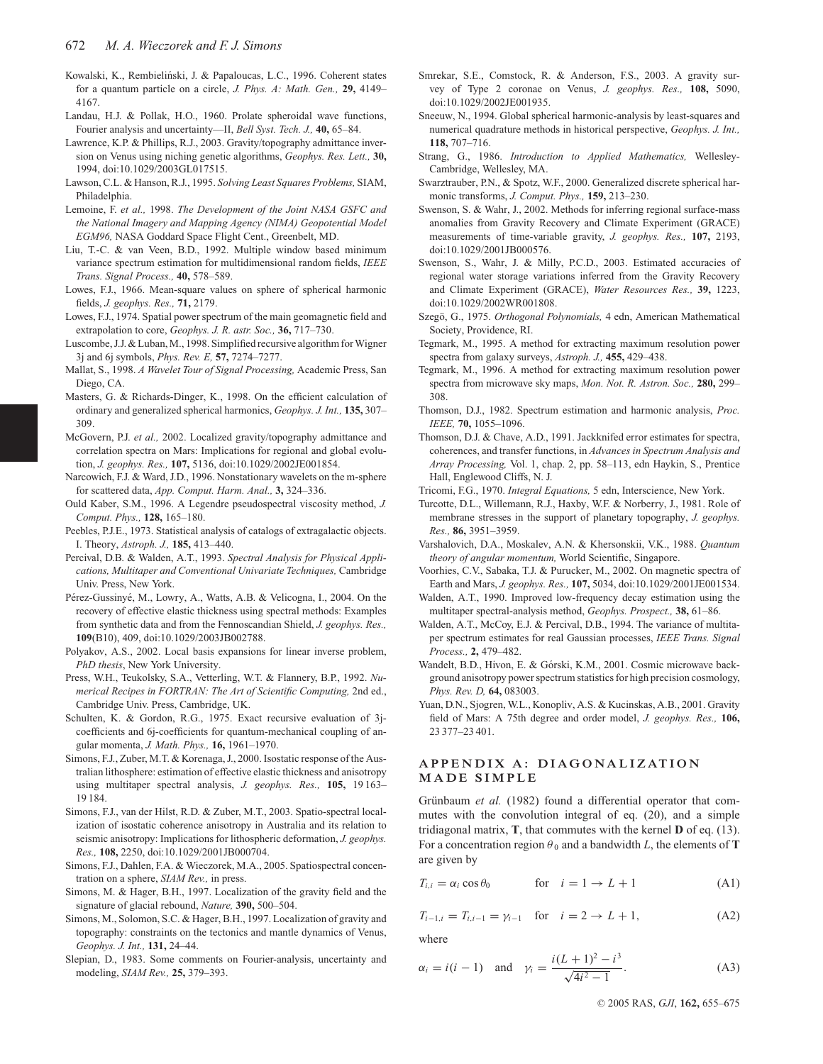- Kowalski, K., Rembieliński, J. & Papaloucas, L.C., 1996. Coherent states for a quantum particle on a circle, *J. Phys. A: Math. Gen.,* **29,** 4149– 4167.
- Landau, H.J. & Pollak, H.O., 1960. Prolate spheroidal wave functions, Fourier analysis and uncertainty—II, *Bell Syst. Tech. J.,* **40,** 65–84.
- Lawrence, K.P. & Phillips, R.J., 2003. Gravity/topography admittance inversion on Venus using niching genetic algorithms, *Geophys. Res. Lett.,* **30,** 1994, doi:10.1029/2003GL017515.
- Lawson, C.L. & Hanson, R.J., 1995. *Solving Least Squares Problems,* SIAM, Philadelphia.
- Lemoine, F. *et al.,* 1998. *The Development of the Joint NASA GSFC and the National Imagery and Mapping Agency (NIMA) Geopotential Model EGM96,* NASA Goddard Space Flight Cent., Greenbelt, MD.
- Liu, T.-C. & van Veen, B.D., 1992. Multiple window based minimum variance spectrum estimation for multidimensional random fields, *IEEE Trans. Signal Process.,* **40,** 578–589.
- Lowes, F.J., 1966. Mean-square values on sphere of spherical harmonic fields, *J. geophys. Res.,* **71,** 2179.
- Lowes, F.J., 1974. Spatial power spectrum of the main geomagnetic field and extrapolation to core, *Geophys. J. R. astr. Soc.,* **36,** 717–730.
- Luscombe, J.J. & Luban, M., 1998. Simplified recursive algorithm for Wigner 3j and 6j symbols, *Phys. Rev. E,* **57,** 7274–7277.
- Mallat, S., 1998. *A Wavelet Tour of Signal Processing,* Academic Press, San Diego, CA.
- Masters, G. & Richards-Dinger, K., 1998. On the efficient calculation of ordinary and generalized spherical harmonics, *Geophys. J. Int.,* **135,** 307– 309.
- McGovern, P.J. *et al.,* 2002. Localized gravity/topography admittance and correlation spectra on Mars: Implications for regional and global evolution, *J. geophys. Res.,* **107,** 5136, doi:10.1029/2002JE001854.
- Narcowich, F.J. & Ward, J.D., 1996. Nonstationary wavelets on the m-sphere for scattered data, *App. Comput. Harm. Anal.,* **3,** 324–336.
- Ould Kaber, S.M., 1996. A Legendre pseudospectral viscosity method, *J. Comput. Phys.,* **128,** 165–180.
- Peebles, P.J.E., 1973. Statistical analysis of catalogs of extragalactic objects. I. Theory, *Astroph. J.,* **185,** 413–440.
- Percival, D.B. & Walden, A.T., 1993. *Spectral Analysis for Physical Applications, Multitaper and Conventional Univariate Techniques,* Cambridge Univ. Press, New York.
- Pérez-Gussinyé, M., Lowry, A., Watts, A.B. & Velicogna, I., 2004. On the recovery of effective elastic thickness using spectral methods: Examples from synthetic data and from the Fennoscandian Shield, *J. geophys. Res.,* **109**(B10), 409, doi:10.1029/2003JB002788.
- Polyakov, A.S., 2002. Local basis expansions for linear inverse problem, *PhD thesis*, New York University.
- Press, W.H., Teukolsky, S.A., Vetterling, W.T. & Flannery, B.P., 1992. *Numerical Recipes in FORTRAN: The Art of Scientific Computing,* 2nd ed., Cambridge Univ. Press, Cambridge, UK.
- Schulten, K. & Gordon, R.G., 1975. Exact recursive evaluation of 3jcoefficients and 6j-coefficients for quantum-mechanical coupling of angular momenta, *J. Math. Phys.,* **16,** 1961–1970.
- Simons, F.J., Zuber, M.T. & Korenaga, J., 2000. Isostatic response of the Australian lithosphere: estimation of effective elastic thickness and anisotropy using multitaper spectral analysis, *J. geophys. Res.,* **105,** 19 163– 19 184.
- Simons, F.J., van der Hilst, R.D. & Zuber, M.T., 2003. Spatio-spectral localization of isostatic coherence anisotropy in Australia and its relation to seismic anisotropy: Implications for lithospheric deformation, *J. geophys. Res.,* **108,** 2250, doi:10.1029/2001JB000704.
- Simons, F.J., Dahlen, F.A. & Wieczorek, M.A., 2005. Spatiospectral concentration on a sphere, *SIAM Rev.,* in press.
- Simons, M. & Hager, B.H., 1997. Localization of the gravity field and the signature of glacial rebound, *Nature,* **390,** 500–504.
- Simons, M., Solomon, S.C. & Hager, B.H., 1997. Localization of gravity and topography: constraints on the tectonics and mantle dynamics of Venus, *Geophys. J. Int.,* **131,** 24–44.
- Slepian, D., 1983. Some comments on Fourier-analysis, uncertainty and modeling, *SIAM Rev.,* **25,** 379–393.
- Smrekar, S.E., Comstock, R. & Anderson, F.S., 2003. A gravity survey of Type 2 coronae on Venus, *J. geophys. Res.,* **108,** 5090, doi:10.1029/2002JE001935.
- Sneeuw, N., 1994. Global spherical harmonic-analysis by least-squares and numerical quadrature methods in historical perspective, *Geophys. J. Int.,* **118,** 707–716.
- Strang, G., 1986. *Introduction to Applied Mathematics,* Wellesley-Cambridge, Wellesley, MA.
- Swarztrauber, P.N., & Spotz, W.F., 2000. Generalized discrete spherical harmonic transforms, *J. Comput. Phys.,* **159,** 213–230.
- Swenson, S. & Wahr, J., 2002. Methods for inferring regional surface-mass anomalies from Gravity Recovery and Climate Experiment (GRACE) measurements of time-variable gravity, *J. geophys. Res.,* **107,** 2193, doi:10.1029/2001JB000576.
- Swenson, S., Wahr, J. & Milly, P.C.D., 2003. Estimated accuracies of regional water storage variations inferred from the Gravity Recovery and Climate Experiment (GRACE), *Water Resources Res.,* **39,** 1223, doi:10.1029/2002WR001808.
- Szegö, G., 1975. Orthogonal Polynomials, 4 edn, American Mathematical Society, Providence, RI.
- Tegmark, M., 1995. A method for extracting maximum resolution power spectra from galaxy surveys, *Astroph. J.,* **455,** 429–438.
- Tegmark, M., 1996. A method for extracting maximum resolution power spectra from microwave sky maps, *Mon. Not. R. Astron. Soc.,* **280,** 299– 308.
- Thomson, D.J., 1982. Spectrum estimation and harmonic analysis, *Proc. IEEE,* **70,** 1055–1096.
- Thomson, D.J. & Chave, A.D., 1991. Jackknifed error estimates for spectra, coherences, and transfer functions, in *Advances in Spectrum Analysis and Array Processing,* Vol. 1, chap. 2, pp. 58–113, edn Haykin, S., Prentice Hall, Englewood Cliffs, N. J.
- Tricomi, F.G., 1970. *Integral Equations,* 5 edn, Interscience, New York.
- Turcotte, D.L., Willemann, R.J., Haxby, W.F. & Norberry, J., 1981. Role of membrane stresses in the support of planetary topography, *J. geophys. Res.,* **86,** 3951–3959.
- Varshalovich, D.A., Moskalev, A.N. & Khersonskii, V.K., 1988. *Quantum theory of angular momentum,* World Scientific, Singapore.
- Voorhies, C.V., Sabaka, T.J. & Purucker, M., 2002. On magnetic spectra of Earth and Mars, *J. geophys. Res.,* **107,** 5034, doi:10.1029/2001JE001534.
- Walden, A.T., 1990. Improved low-frequency decay estimation using the multitaper spectral-analysis method, *Geophys. Prospect.,* **38,** 61–86.
- Walden, A.T., McCoy, E.J. & Percival, D.B., 1994. The variance of multitaper spectrum estimates for real Gaussian processes, *IEEE Trans. Signal Process.,* **2,** 479–482.
- Wandelt, B.D., Hivon, E. & Górski, K.M., 2001. Cosmic microwave background anisotropy power spectrum statistics for high precision cosmology, *Phys. Rev. D,* **64,** 083003.
- Yuan, D.N., Sjogren, W.L., Konopliv, A.S. & Kucinskas, A.B., 2001. Gravity field of Mars: A 75th degree and order model, *J. geophys. Res.,* **106,** 23 377–23 401.

# **APPENDIX A: DIAGONALIZATION MADE SIMPLE**

Grünbaum *et al.* (1982) found a differential operator that commutes with the convolution integral of eq. (20), and a simple tridiagonal matrix, **T**, that commutes with the kernel **D** of eq. (13). For a concentration region  $\theta_0$  and a bandwidth *L*, the elements of **T** are given by

$$
T_{i,i} = \alpha_i \cos \theta_0 \qquad \text{for} \quad i = 1 \to L + 1 \tag{A1}
$$

$$
T_{i-1,i} = T_{i,i-1} = \gamma_{i-1} \text{ for } i = 2 \to L+1,
$$
 (A2)

where

$$
\alpha_i = i(i-1)
$$
 and  $\gamma_i = \frac{i(L+1)^2 - i^3}{\sqrt{4i^2 - 1}}$ . (A3)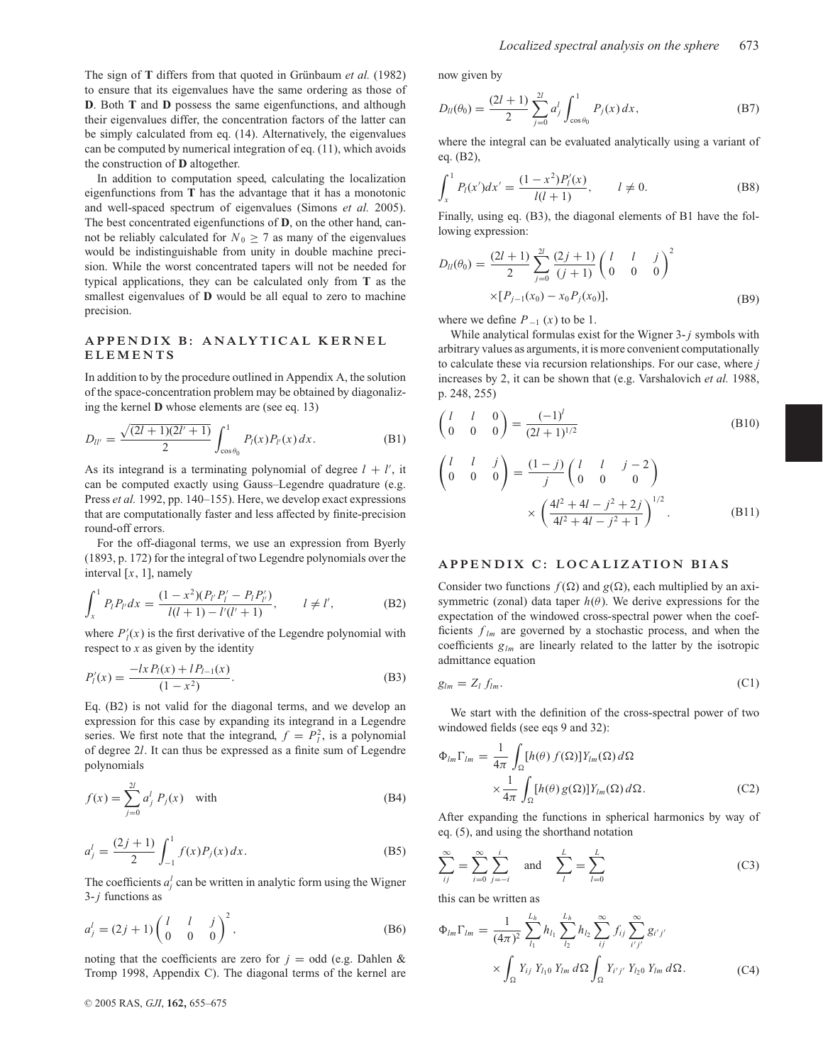The sign of **T** differs from that quoted in Grünbaum *et al.* (1982) to ensure that its eigenvalues have the same ordering as those of **D**. Both **T** and **D** possess the same eigenfunctions, and although their eigenvalues differ, the concentration factors of the latter can be simply calculated from eq. (14). Alternatively, the eigenvalues can be computed by numerical integration of eq. (11), which avoids the construction of **D** altogether.

In addition to computation speed, calculating the localization eigenfunctions from **T** has the advantage that it has a monotonic and well-spaced spectrum of eigenvalues (Simons *et al.* 2005). The best concentrated eigenfunctions of **D**, on the other hand, cannot be reliably calculated for  $N_0 \geq 7$  as many of the eigenvalues would be indistinguishable from unity in double machine precision. While the worst concentrated tapers will not be needed for typical applications, they can be calculated only from **T** as the smallest eigenvalues of **D** would be all equal to zero to machine precision.

# **APPENDIX B: ANALYTICAL KERNEL ELEMENTS**

In addition to by the procedure outlined in Appendix A, the solution of the space-concentration problem may be obtained by diagonalizing the kernel **D** whose elements are (see eq. 13)

$$
D_{ll'} = \frac{\sqrt{(2l+1)(2l'+1)}}{2} \int_{\cos\theta_0}^{1} P_l(x) P_{l'}(x) dx.
$$
 (B1)

As its integrand is a terminating polynomial of degree  $l + l'$ , it can be computed exactly using Gauss–Legendre quadrature (e.g. Press *et al.* 1992, pp. 140–155). Here, we develop exact expressions that are computationally faster and less affected by finite-precision round-off errors.

For the off-diagonal terms, we use an expression from Byerly (1893, p. 172) for the integral of two Legendre polynomials over the interval [*x*, 1], namely

$$
\int_{x}^{1} P_{l} P_{l'} dx = \frac{(1 - x^{2})(P_{l'} P_{l'}' - P_{l} P_{l'}')}{l(l + 1) - l'(l' + 1)}, \qquad l \neq l',
$$
 (B2)

where  $P_l'(x)$  is the first derivative of the Legendre polynomial with respect to *x* as given by the identity

$$
P'_l(x) = \frac{-lx \, P_l(x) + l \, P_{l-1}(x)}{(1 - x^2)}.
$$
\n(B3)

Eq. (B2) is not valid for the diagonal terms, and we develop an expression for this case by expanding its integrand in a Legendre series. We first note that the integrand,  $f = P_i^2$ , is a polynomial of degree 2*l*. It can thus be expressed as a finite sum of Legendre polynomials

$$
f(x) = \sum_{j=0}^{2l} a_j^l P_j(x)
$$
 with (B4)

$$
a_j^l = \frac{(2j+1)}{2} \int_{-1}^1 f(x) P_j(x) dx.
$$
 (B5)

The coefficients  $a_j^l$  can be written in analytic form using the Wigner 3-*j* functions as

$$
a_j^l = (2j+1)\begin{pmatrix} l & l & j \\ 0 & 0 & 0 \end{pmatrix}^2,
$$
 (B6)

noting that the coefficients are zero for  $j =$  odd (e.g. Dahlen & Tromp 1998, Appendix C). The diagonal terms of the kernel are now given by

$$
D_{ll}(\theta_0) = \frac{(2l+1)}{2} \sum_{j=0}^{2l} a_j^l \int_{\cos \theta_0}^1 P_j(x) \, dx,\tag{B7}
$$

where the integral can be evaluated analytically using a variant of eq. (B2),

$$
\int_{x}^{1} P_{l}(x')dx' = \frac{(1-x^{2})P'_{l}(x)}{l(l+1)}, \qquad l \neq 0.
$$
 (B8)

Finally, using eq. (B3), the diagonal elements of B1 have the following expression:

$$
D_{ll}(\theta_0) = \frac{(2l+1)}{2} \sum_{j=0}^{2l} \frac{(2j+1)}{(j+1)} \begin{pmatrix} l & l & j \\ 0 & 0 & 0 \end{pmatrix}^2
$$
  
×[ $P_{j-1}(x_0) - x_0 P_j(x_0)$ ], (B9)

where we define  $P_{-1}(x)$  to be 1.

While analytical formulas exist for the Wigner 3-*j* symbols with arbitrary values as arguments, it is more convenient computationally to calculate these via recursion relationships. For our case, where *j* increases by 2, it can be shown that (e.g. Varshalovich *et al.* 1988, p. 248, 255)

$$
\begin{pmatrix} l & l & 0 \\ 0 & 0 & 0 \end{pmatrix} = \frac{(-1)^l}{(2l+1)^{1/2}}
$$
 (B10)

$$
\begin{pmatrix} l & l & j \\ 0 & 0 & 0 \end{pmatrix} = \frac{(1-j)}{j} \begin{pmatrix} l & l & j-2 \\ 0 & 0 & 0 \end{pmatrix}
$$

$$
\times \left( \frac{4l^2 + 4l - j^2 + 2j}{4l^2 + 4l - j^2 + 1} \right)^{1/2}.
$$
 (B11)

# **APPENDIX C: LOCALIZATION BIAS**

Consider two functions  $f(\Omega)$  and  $g(\Omega)$ , each multiplied by an axisymmetric (zonal) data taper  $h(\theta)$ . We derive expressions for the expectation of the windowed cross-spectral power when the coefficients  $f_{lm}$  are governed by a stochastic process, and when the coefficients *glm* are linearly related to the latter by the isotropic admittance equation

$$
g_{lm} = Z_l f_{lm}.
$$
 (C1)

We start with the definition of the cross-spectral power of two windowed fields (see eqs 9 and 32):

$$
\Phi_{lm}\Gamma_{lm} = \frac{1}{4\pi} \int_{\Omega} [h(\theta) f(\Omega)] Y_{lm}(\Omega) d\Omega
$$

$$
\times \frac{1}{4\pi} \int_{\Omega} [h(\theta) g(\Omega)] Y_{lm}(\Omega) d\Omega.
$$
 (C2)

After expanding the functions in spherical harmonics by way of eq. (5), and using the shorthand notation

$$
\sum_{i,j}^{\infty} = \sum_{i=0}^{\infty} \sum_{j=-i}^{i} \text{ and } \sum_{l}^{L} = \sum_{l=0}^{L} \tag{C3}
$$

this can be written as

$$
\Phi_{lm}\Gamma_{lm} = \frac{1}{(4\pi)^2} \sum_{l_1}^{L_h} h_{l_1} \sum_{l_2}^{L_h} h_{l_2} \sum_{ij}^{\infty} f_{ij} \sum_{i'j'}^{\infty} g_{i'j'}
$$
  
 
$$
\times \int_{\Omega} Y_{ij} Y_{l_1 0} Y_{lm} d\Omega \int_{\Omega} Y_{i'j'} Y_{l_2 0} Y_{lm} d\Omega.
$$
 (C4)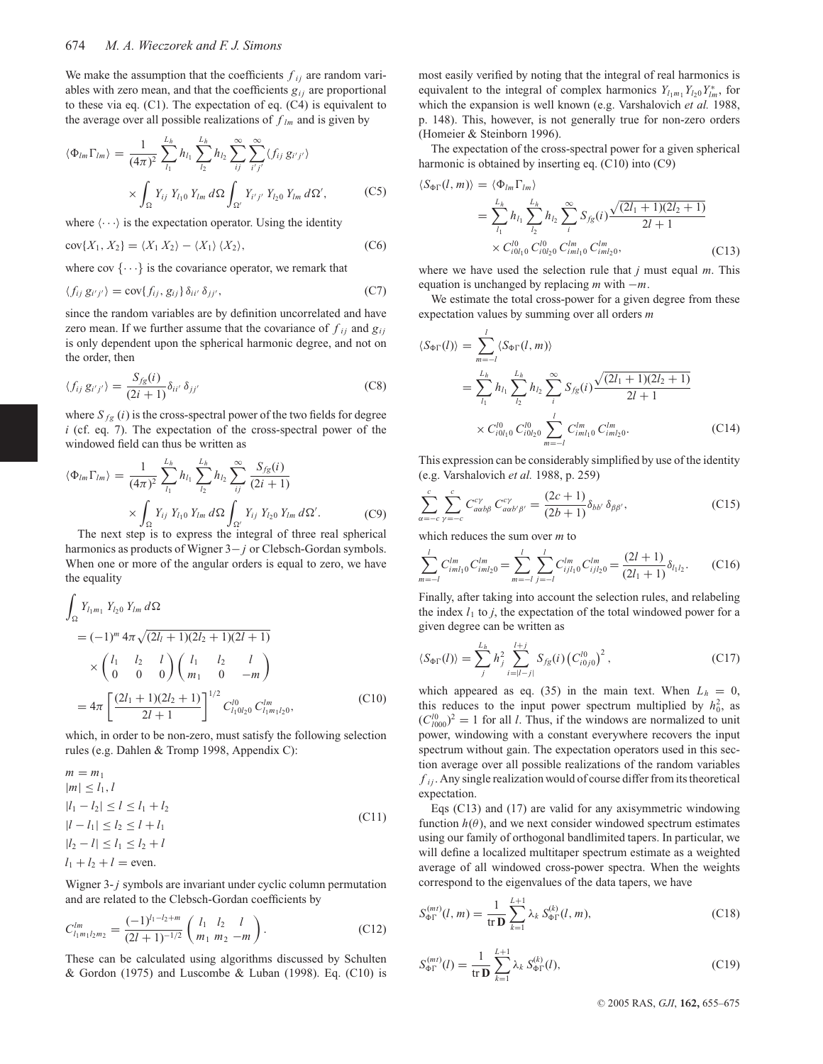We make the assumption that the coefficients  $f_{ij}$  are random variables with zero mean, and that the coefficients  $g_{ij}$  are proportional to these via eq. (C1). The expectation of eq. (C4) is equivalent to the average over all possible realizations of  $f_{lm}$  and is given by

$$
\langle \Phi_{lm} \Gamma_{lm} \rangle = \frac{1}{(4\pi)^2} \sum_{l_1}^{L_h} h_{l_1} \sum_{l_2}^{L_h} h_{l_2} \sum_{ij}^{\infty} \sum_{i'j'}^{\infty} \langle f_{ij} g_{i'j'} \rangle
$$
  
 
$$
\times \int_{\Omega} Y_{ij} Y_{l_1 0} Y_{lm} d\Omega \int_{\Omega'} Y_{i'j'} Y_{l_2 0} Y_{lm} d\Omega', \qquad (C5)
$$

where  $\langle \cdots \rangle$  is the expectation operator. Using the identity

$$
cov{X1, X2} = \langle X1 X2 \rangle - \langle X1 \rangle \langle X2 \rangle,
$$
 (C6)

where cov  $\{\cdots\}$  is the covariance operator, we remark that

$$
\langle f_{ij} \, g_{i'j'} \rangle = \text{cov}\{f_{ij}, g_{ij}\} \, \delta_{ii'} \, \delta_{jj'}, \tag{C7}
$$

since the random variables are by definition uncorrelated and have zero mean. If we further assume that the covariance of  $f_{ii}$  and  $g_{ii}$ is only dependent upon the spherical harmonic degree, and not on the order, then

$$
\langle f_{ij} g_{i'j'} \rangle = \frac{S_{fg}(i)}{(2i+1)} \delta_{ii'} \delta_{jj'}
$$
 (C8)

where  $S_{fg}$  (*i*) is the cross-spectral power of the two fields for degree *i* (cf. eq. 7). The expectation of the cross-spectral power of the windowed field can thus be written as

$$
\langle \Phi_{lm} \Gamma_{lm} \rangle = \frac{1}{(4\pi)^2} \sum_{l_1}^{L_h} h_{l_1} \sum_{l_2}^{L_h} h_{l_2} \sum_{ij}^{\infty} \frac{S_{fg}(i)}{(2i+1)}
$$
  
 
$$
\times \int_{\Omega} Y_{ij} Y_{l_1 0} Y_{lm} d\Omega \int_{\Omega'} Y_{ij} Y_{l_2 0} Y_{lm} d\Omega'.
$$
 (C9)

The next step is to express the integral of three real spherical harmonics as products of Wigner 3− *j* or Clebsch-Gordan symbols. When one or more of the angular orders is equal to zero, we have the equality

$$
\int_{\Omega} Y_{l_1m_1} Y_{l_2 0} Y_{l_m} d\Omega
$$
\n
$$
= (-1)^m 4\pi \sqrt{(2l_l + 1)(2l_2 + 1)(2l + 1)}
$$
\n
$$
\times \begin{pmatrix} l_1 & l_2 & l \\ 0 & 0 & 0 \end{pmatrix} \begin{pmatrix} l_1 & l_2 & l \\ m_1 & 0 & -m \end{pmatrix}
$$
\n
$$
= 4\pi \left[ \frac{(2l_1 + 1)(2l_2 + 1)}{2l + 1} \right]^{1/2} C_{l_10l_20}^{l_0} C_{l_1m_1l_20}^{l_m}, \tag{C10}
$$

which, in order to be non-zero, must satisfy the following selection rules (e.g. Dahlen & Tromp 1998, Appendix C):

$$
m = m_1
$$
  
\n
$$
|m| \le l_1, l
$$
  
\n
$$
|l_1 - l_2| \le l \le l_1 + l_2
$$
  
\n
$$
|l - l_1| \le l_2 \le l + l_1
$$
  
\n
$$
|l_2 - l| \le l_1 \le l_2 + l
$$
  
\n
$$
l_1 + l_2 + l = \text{even.}
$$
  
\n(C11)

Wigner 3-*j* symbols are invariant under cyclic column permutation and are related to the Clebsch-Gordan coefficients by

$$
C_{l_1m_1l_2m_2}^{lm} = \frac{(-1)^{l_1-l_2+m}}{(2l+1)^{-1/2}} \begin{pmatrix} l_1 & l_2 & l \ m_1 & m_2 & -m \end{pmatrix}.
$$
 (C12)

These can be calculated using algorithms discussed by Schulten & Gordon (1975) and Luscombe & Luban (1998). Eq. (C10) is most easily verified by noting that the integral of real harmonics is equivalent to the integral of complex harmonics  $Y_{l_1m_1}Y_{l_20}Y_{l_m}^*$ , for which the expansion is well known (e.g. Varshalovich *et al.* 1988, p. 148). This, however, is not generally true for non-zero orders (Homeier & Steinborn 1996).

The expectation of the cross-spectral power for a given spherical harmonic is obtained by inserting eq. (C10) into (C9)

$$
\langle S_{\Phi\Gamma}(l,m)\rangle = \langle \Phi_{lm}\Gamma_{lm}\rangle
$$
  
=  $\sum_{l_1}^{L_h} h_{l_1} \sum_{l_2}^{L_h} h_{l_2} \sum_{i}^{\infty} S_{fg}(i) \frac{\sqrt{(2l_1+1)(2l_2+1)}}{2l+1}$   
×  $C_{i0l_10}^{l_0} C_{i0l_20}^{l_0} C_{iml_10}^{lm} C_{iml_20}^{lm},$  (C13)

where we have used the selection rule that *j* must equal *m*. This equation is unchanged by replacing *m* with −*m*.

We estimate the total cross-power for a given degree from these expectation values by summing over all orders *m*

$$
\langle S_{\Phi\Gamma}(l)\rangle = \sum_{m=-l}^{l} \langle S_{\Phi\Gamma}(l,m)\rangle
$$
  
= 
$$
\sum_{l_1}^{L_h} h_{l_1} \sum_{l_2}^{L_h} h_{l_2} \sum_{i}^{\infty} S_{fg}(i) \frac{\sqrt{(2l_1+1)(2l_2+1)}}{2l+1}
$$
  

$$
\times C_{i0l_10}^{l_0} C_{i0l_20}^{l_0} \sum_{m=-l}^{l} C_{iml_10}^{lm} C_{iml_20}^{lm}.
$$
 (C14)

This expression can be considerably simplified by use of the identity (e.g. Varshalovich *et al.* 1988, p. 259)

$$
\sum_{\alpha=-c}^{c} \sum_{\gamma=-c}^{c} C_{a\alpha b\beta}^{c\gamma} C_{a\alpha b'\beta'}^{c\gamma} = \frac{(2c+1)}{(2b+1)} \delta_{bb'} \delta_{\beta\beta'},
$$
\n(C15)

which reduces the sum over *m* to

$$
\sum_{m=-l}^{l} C_{i m l_1 0}^{l m} C_{i m l_2 0}^{l m} = \sum_{m=-l}^{l} \sum_{j=-l}^{l} C_{i j l_1 0}^{l m} C_{i j l_2 0}^{l m} = \frac{(2l+1)}{(2l_1+1)} \delta_{l_1 l_2}.
$$
 (C16)

Finally, after taking into account the selection rules, and relabeling the index  $l_1$  to *j*, the expectation of the total windowed power for a given degree can be written as

$$
\langle S_{\Phi\Gamma}(l)\rangle = \sum_{j}^{L_h} h_j^2 \sum_{i=|l-j|}^{l+j} S_{fg}(i) \left(C_{i0j0}^{l0}\right)^2, \tag{C17}
$$

which appeared as eq. (35) in the main text. When  $L<sub>h</sub> = 0$ , this reduces to the input power spectrum multiplied by  $h_0^2$ , as  $(C_{l000}^{l0})^2 = 1$  for all *l*. Thus, if the windows are normalized to unit power, windowing with a constant everywhere recovers the input spectrum without gain. The expectation operators used in this section average over all possible realizations of the random variables  $f_{ij}$ . Any single realization would of course differ from its theoretical expectation.

Eqs (C13) and (17) are valid for any axisymmetric windowing function  $h(\theta)$ , and we next consider windowed spectrum estimates using our family of orthogonal bandlimited tapers. In particular, we will define a localized multitaper spectrum estimate as a weighted average of all windowed cross-power spectra. When the weights correspond to the eigenvalues of the data tapers, we have

$$
S_{\Phi\Gamma}^{(mt)}(l,m) = \frac{1}{\text{tr}\,\mathbf{D}} \sum_{k=1}^{L+1} \lambda_k \, S_{\Phi\Gamma}^{(k)}(l,m),\tag{C18}
$$

$$
S_{\Phi\Gamma}^{(mt)}(l) = \frac{1}{\text{tr}\,\mathbf{D}} \sum_{k=1}^{L+1} \lambda_k \, S_{\Phi\Gamma}^{(k)}(l),\tag{C19}
$$

-<sup>C</sup> 2005 RAS, *GJI*, **162,** 655–675